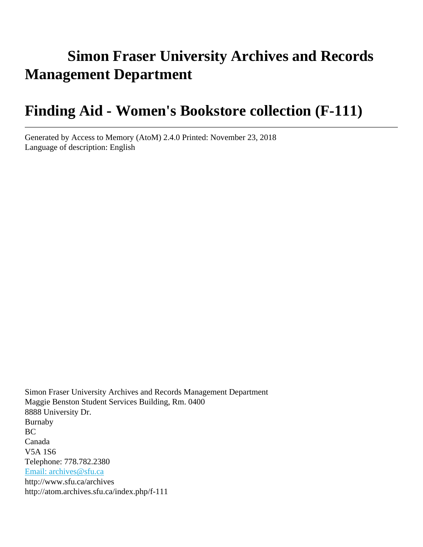# **Simon Fraser University Archives and Records Management Department**

# **Finding Aid - Women's Bookstore collection (F-111)**

Generated by Access to Memory (AtoM) 2.4.0 Printed: November 23, 2018 Language of description: English

Simon Fraser University Archives and Records Management Department Maggie Benston Student Services Building, Rm. 0400 8888 University Dr. Burnaby BC Canada V5A 1S6 Telephone: 778.782.2380 [Email: archives@sfu.ca](mailto:Email: archives@sfu.ca) http://www.sfu.ca/archives http://atom.archives.sfu.ca/index.php/f-111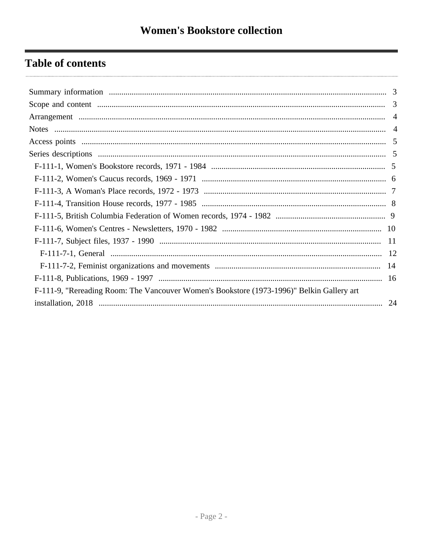## **Table of contents**

| F-111-9, "Rereading Room: The Vancouver Women's Bookstore (1973-1996)" Belkin Gallery art |  |
|-------------------------------------------------------------------------------------------|--|
|                                                                                           |  |
|                                                                                           |  |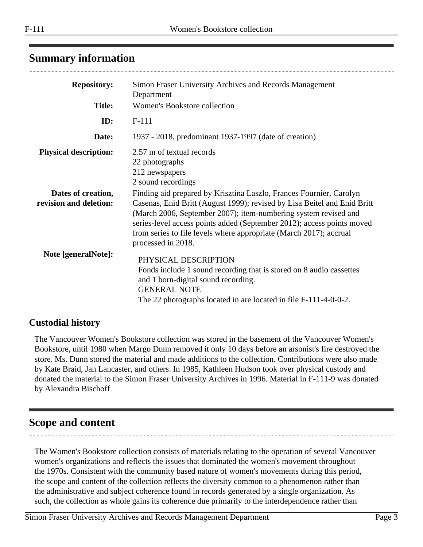## <span id="page-2-0"></span>**Summary information**

| <b>Repository:</b>                           | Simon Fraser University Archives and Records Management<br>Department                                                                                                                                                                                                                                                                                                                    |
|----------------------------------------------|------------------------------------------------------------------------------------------------------------------------------------------------------------------------------------------------------------------------------------------------------------------------------------------------------------------------------------------------------------------------------------------|
| <b>Title:</b>                                | Women's Bookstore collection                                                                                                                                                                                                                                                                                                                                                             |
| ID:                                          | $F-111$                                                                                                                                                                                                                                                                                                                                                                                  |
| Date:                                        | 1937 - 2018, predominant 1937-1997 (date of creation)                                                                                                                                                                                                                                                                                                                                    |
| <b>Physical description:</b>                 | 2.57 m of textual records<br>22 photographs<br>212 newspapers<br>2 sound recordings                                                                                                                                                                                                                                                                                                      |
| Dates of creation,<br>revision and deletion: | Finding aid prepared by Krisztina Laszlo, Frances Fournier, Carolyn<br>Casenas, Enid Britt (August 1999); revised by Lisa Beitel and Enid Britt<br>(March 2006, September 2007); item-numbering system revised and<br>series-level access points added (September 2012); access points moved<br>from series to file levels where appropriate (March 2017); accrual<br>processed in 2018. |
| Note [generalNote]:                          | PHYSICAL DESCRIPTION<br>Fonds include 1 sound recording that is stored on 8 audio cassettes<br>and 1 born-digital sound recording.<br><b>GENERAL NOTE</b><br>The 22 photographs located in are located in file F-111-4-0-0-2.                                                                                                                                                            |

## **Custodial history**

The Vancouver Women's Bookstore collection was stored in the basement of the Vancouver Women's Bookstore, until 1980 when Margo Dunn removed it only 10 days before an arsonist's fire destroyed the store. Ms. Dunn stored the material and made additions to the collection. Contributions were also made by Kate Braid, Jan Lancaster, and others. In 1985, Kathleen Hudson took over physical custody and donated the material to the Simon Fraser University Archives in 1996. Material in F-111-9 was donated by Alexandra Bischoff.

## <span id="page-2-1"></span>**Scope and content**

The Women's Bookstore collection consists of materials relating to the operation of several Vancouver women's organizations and reflects the issues that dominated the women's movement throughout the 1970s. Consistent with the community based nature of women's movements during this period, the scope and content of the collection reflects the diversity common to a phenomenon rather than the administrative and subject coherence found in records generated by a single organization. As such, the collection as whole gains its coherence due primarily to the interdependence rather than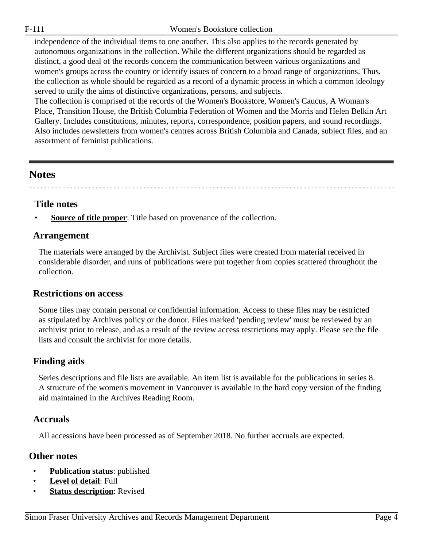independence of the individual items to one another. This also applies to the records generated by autonomous organizations in the collection. While the different organizations should be regarded as distinct, a good deal of the records concern the communication between various organizations and women's groups across the country or identify issues of concern to a broad range of organizations. Thus, the collection as whole should be regarded as a record of a dynamic process in which a common ideology served to unify the aims of distinctive organizations, persons, and subjects.

The collection is comprised of the records of the Women's Bookstore, Women's Caucus, A Woman's Place, Transition House, the British Columbia Federation of Women and the Morris and Helen Belkin Art Gallery. Includes constitutions, minutes, reports, correspondence, position papers, and sound recordings. Also includes newsletters from women's centres across British Columbia and Canada, subject files, and an assortment of feminist publications.

## <span id="page-3-1"></span>**Notes**

### **Title notes**

**Source of title proper**: Title based on provenance of the collection.

## <span id="page-3-0"></span>**Arrangement**

The materials were arranged by the Archivist. Subject files were created from material received in considerable disorder, and runs of publications were put together from copies scattered throughout the collection.

### **Restrictions on access**

Some files may contain personal or confidential information. Access to these files may be restricted as stipulated by Archives policy or the donor. Files marked 'pending review' must be reviewed by an archivist prior to release, and as a result of the review access restrictions may apply. Please see the file lists and consult the archivist for more details.

## **Finding aids**

Series descriptions and file lists are available. An item list is available for the publications in series 8. A structure of the women's movement in Vancouver is available in the hard copy version of the finding aid maintained in the Archives Reading Room.

## **Accruals**

All accessions have been processed as of September 2018. No further accruals are expected.

### **Other notes**

- **Publication status**: published
- **Level of detail**: Full
- **Status description:** Revised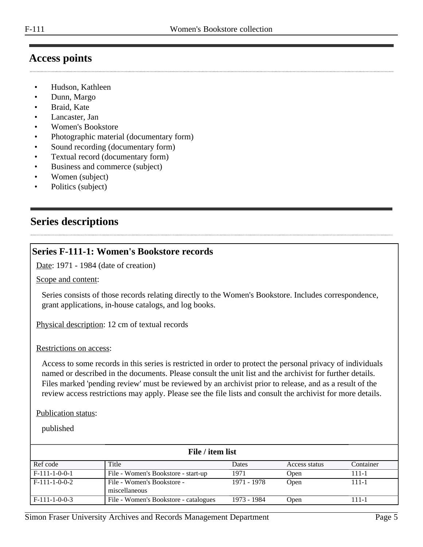## <span id="page-4-0"></span>**Access points**

- Hudson, Kathleen
- Dunn, Margo
- Braid, Kate
- Lancaster, Jan
- Women's Bookstore
- Photographic material (documentary form)
- Sound recording (documentary form)
- Textual record (documentary form)
- Business and commerce (subject)
- Women (subject)
- Politics (subject)

## <span id="page-4-1"></span>**Series descriptions**

### <span id="page-4-2"></span>**Series F-111-1: Women's Bookstore records**

Date: 1971 - 1984 (date of creation)

#### Scope and content:

Series consists of those records relating directly to the Women's Bookstore. Includes correspondence, grant applications, in-house catalogs, and log books.

Physical description: 12 cm of textual records

#### Restrictions on access:

Access to some records in this series is restricted in order to protect the personal privacy of individuals named or described in the documents. Please consult the unit list and the archivist for further details. Files marked 'pending review' must be reviewed by an archivist prior to release, and as a result of the review access restrictions may apply. Please see the file lists and consult the archivist for more details.

#### Publication status:

| File / item list |                                             |             |               |           |
|------------------|---------------------------------------------|-------------|---------------|-----------|
| Ref code         | Title                                       | Dates       | Access status | Container |
| $F-111-1-0-0-1$  | File - Women's Bookstore - start-up         | 1971        | Open          | 111-1     |
| $F-111-1-0-0-2$  | File - Women's Bookstore -<br>miscellaneous | 1971 - 1978 | Open          | 111-1     |
| $F-111-1-0-0-3$  | File - Women's Bookstore - catalogues       | 1973 - 1984 | Open          | 111-1     |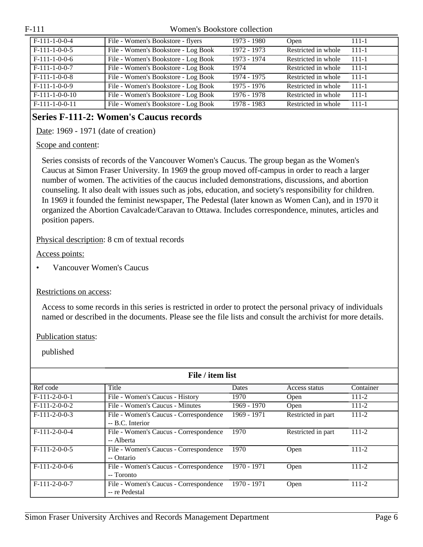| $F-111-1-0-0-4$  | File - Women's Bookstore - flyers   | 1973 - 1980 | Open                | $111 - 1$ |
|------------------|-------------------------------------|-------------|---------------------|-----------|
| $F-111-1-0-0-5$  | File - Women's Bookstore - Log Book | 1972 - 1973 | Restricted in whole | $-111-1$  |
| $F-111-1-0-0-6$  | File - Women's Bookstore - Log Book | 1973 - 1974 | Restricted in whole | $-111-1$  |
| $F-111-1-0-0-7$  | File - Women's Bookstore - Log Book | 1974        | Restricted in whole | $-111-1$  |
| $F-111-1-0-0-8$  | File - Women's Bookstore - Log Book | 1974 - 1975 | Restricted in whole | $-111-1$  |
| $F-111-1-0-0-9$  | File - Women's Bookstore - Log Book | 1975 - 1976 | Restricted in whole | $-111-1$  |
| $F-111-1-0-0-10$ | File - Women's Bookstore - Log Book | 1976 - 1978 | Restricted in whole | $111 - 1$ |
| $F-111-1-0-0-11$ | File - Women's Bookstore - Log Book | 1978 - 1983 | Restricted in whole | $-111-1$  |

## <span id="page-5-0"></span>**Series F-111-2: Women's Caucus records**

Date: 1969 - 1971 (date of creation)

#### Scope and content:

Series consists of records of the Vancouver Women's Caucus. The group began as the Women's Caucus at Simon Fraser University. In 1969 the group moved off-campus in order to reach a larger number of women. The activities of the caucus included demonstrations, discussions, and abortion counseling. It also dealt with issues such as jobs, education, and society's responsibility for children. In 1969 it founded the feminist newspaper, The Pedestal (later known as Women Can), and in 1970 it organized the Abortion Cavalcade/Caravan to Ottawa. Includes correspondence, minutes, articles and position papers.

#### Physical description: 8 cm of textual records

Access points:

• Vancouver Women's Caucus

#### Restrictions on access:

Access to some records in this series is restricted in order to protect the personal privacy of individuals named or described in the documents. Please see the file lists and consult the archivist for more details.

Publication status:

| File / item list |                                                            |              |                    |           |  |
|------------------|------------------------------------------------------------|--------------|--------------------|-----------|--|
| Ref code         | Title                                                      | <b>Dates</b> | Access status      | Container |  |
| $F-111-2-0-0-1$  | File - Women's Caucus - History                            | 1970         | <b>Open</b>        | $111 - 2$ |  |
| $F-111-2-0-0-2$  | File - Women's Caucus - Minutes                            | 1969 - 1970  | Open               | $111 - 2$ |  |
| $F-111-2-0-0-3$  | File - Women's Caucus - Correspondence<br>-- B.C. Interior | 1969 - 1971  | Restricted in part | $111 - 2$ |  |
| $F-111-2-0-0-4$  | File - Women's Caucus - Correspondence<br>-- Alberta       | 1970         | Restricted in part | $111 - 2$ |  |
| $F-111-2-0-0-5$  | File - Women's Caucus - Correspondence<br>-- Ontario       | 1970         | Open               | $111 - 2$ |  |
| $F-111-2-0-0-6$  | File - Women's Caucus - Correspondence<br>-- Toronto       | 1970 - 1971  | Open               | $111 - 2$ |  |
| $F-111-2-0-0-7$  | File - Women's Caucus - Correspondence<br>-- re Pedestal   | 1970 - 1971  | Open               | 111-2     |  |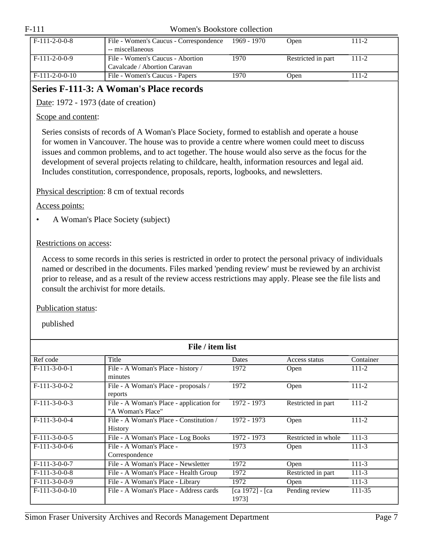| F-111 | Women's Bookstore collection |
|-------|------------------------------|
|       |                              |

| $F-111-2-0-0-8$  | File - Women's Caucus - Correspondence<br>-- miscellaneous       | 1969 - 1970 | Open               | $111 - 2$ |
|------------------|------------------------------------------------------------------|-------------|--------------------|-----------|
| $F-111-2-0-0-9$  | File - Women's Caucus - Abortion<br>Cavalcade / Abortion Caravan | 1970        | Restricted in part | $111 - 2$ |
| $F-111-2-0-0-10$ | File - Women's Caucus - Papers                                   | 1970        | Open               | 111-2     |

## <span id="page-6-0"></span>**Series F-111-3: A Woman's Place records**

Date: 1972 - 1973 (date of creation)

#### Scope and content:

Series consists of records of A Woman's Place Society, formed to establish and operate a house for women in Vancouver. The house was to provide a centre where women could meet to discuss issues and common problems, and to act together. The house would also serve as the focus for the development of several projects relating to childcare, health, information resources and legal aid. Includes constitution, correspondence, proposals, reports, logbooks, and newsletters.

Physical description: 8 cm of textual records

Access points:

• A Woman's Place Society (subject)

#### Restrictions on access:

Access to some records in this series is restricted in order to protect the personal privacy of individuals named or described in the documents. Files marked 'pending review' must be reviewed by an archivist prior to release, and as a result of the review access restrictions may apply. Please see the file lists and consult the archivist for more details.

#### Publication status:

| File / item list |                                                               |                          |                     |           |
|------------------|---------------------------------------------------------------|--------------------------|---------------------|-----------|
| Ref code         | Title                                                         | <b>Dates</b>             | Access status       | Container |
| $F-111-3-0-0-1$  | File - A Woman's Place - history /<br>minutes                 | 1972                     | <b>Open</b>         | $111 - 2$ |
| $F-111-3-0-0-2$  | File - A Woman's Place - proposals /<br>reports               | 1972                     | Open                | 111-2     |
| $F-111-3-0-0-3$  | File - A Woman's Place - application for<br>"A Woman's Place" | 1972 - 1973              | Restricted in part  | $111 - 2$ |
| $F-111-3-0-0-4$  | File - A Woman's Place - Constitution /<br><b>History</b>     | 1972 - 1973              | Open                | 111-2     |
| $F-111-3-0-0-5$  | File - A Woman's Place - Log Books                            | 1972 - 1973              | Restricted in whole | $111 - 3$ |
| $F-111-3-0-0-6$  | File - A Woman's Place -<br>Correspondence                    | 1973                     | Open                | $111-3$   |
| $F-111-3-0-0-7$  | File - A Woman's Place - Newsletter                           | 1972                     | Open                | $111-3$   |
| $F-111-3-0-0-8$  | File - A Woman's Place - Health Group                         | 1972                     | Restricted in part  | $111-3$   |
| $F-111-3-0-0-9$  | File - A Woman's Place - Library                              | 1972                     | Open                | $111-3$   |
| $F-111-3-0-0-10$ | File - A Woman's Place - Address cards                        | [ca 1972] - [ca<br>1973] | Pending review      | 111-35    |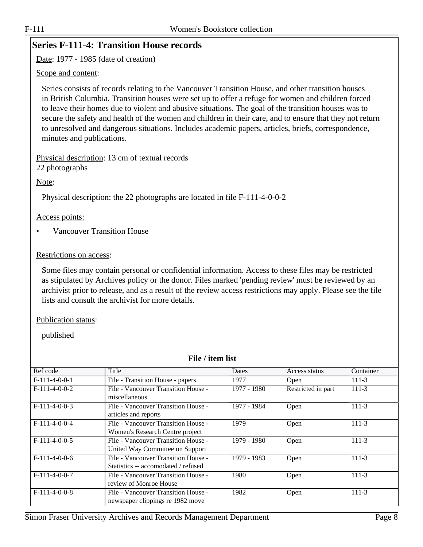### <span id="page-7-0"></span>**Series F-111-4: Transition House records**

Date: 1977 - 1985 (date of creation)

#### Scope and content:

Series consists of records relating to the Vancouver Transition House, and other transition houses in British Columbia. Transition houses were set up to offer a refuge for women and children forced to leave their homes due to violent and abusive situations. The goal of the transition houses was to secure the safety and health of the women and children in their care, and to ensure that they not return to unresolved and dangerous situations. Includes academic papers, articles, briefs, correspondence, minutes and publications.

Physical description: 13 cm of textual records 22 photographs

Note:

Physical description: the 22 photographs are located in file F-111-4-0-0-2

Access points:

• Vancouver Transition House

#### Restrictions on access:

Some files may contain personal or confidential information. Access to these files may be restricted as stipulated by Archives policy or the donor. Files marked 'pending review' must be reviewed by an archivist prior to release, and as a result of the review access restrictions may apply. Please see the file lists and consult the archivist for more details.

#### Publication status:

| File / item list |                                                                            |             |                    |           |  |
|------------------|----------------------------------------------------------------------------|-------------|--------------------|-----------|--|
| Ref code         | Title                                                                      | Dates       | Access status      | Container |  |
| $F-111-4-0-0-1$  | File - Transition House - papers                                           | 1977        | Open               | $111-3$   |  |
| $F-111-4-0-0-2$  | File - Vancouver Transition House -<br>miscellaneous                       | 1977 - 1980 | Restricted in part | $111-3$   |  |
| $F-111-4-0-0-3$  | File - Vancouver Transition House -<br>articles and reports                | 1977 - 1984 | Open               | $111-3$   |  |
| $F-111-4-0-0-4$  | File - Vancouver Transition House -<br>Women's Research Centre project     | 1979        | Open               | 111-3     |  |
| $F-111-4-0-0-5$  | File - Vancouver Transition House -<br>United Way Committee on Support     | 1979 - 1980 | Open               | $111-3$   |  |
| $F-111-4-0-0-6$  | File - Vancouver Transition House -<br>Statistics -- accomodated / refused | 1979 - 1983 | Open               | $111-3$   |  |
| $F-111-4-0-0-7$  | File - Vancouver Transition House -<br>review of Monroe House              | 1980        | Open               | $111-3$   |  |
| $F-111-4-0-0-8$  | File - Vancouver Transition House -<br>newspaper clippings re 1982 move    | 1982        | Open               | 111-3     |  |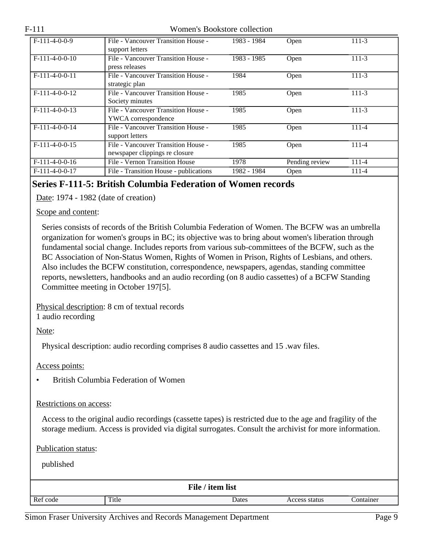| $F-111-4-0-0-9$  | File - Vancouver Transition House -    | 1983 - 1984 | Open           | $111-3$   |
|------------------|----------------------------------------|-------------|----------------|-----------|
|                  | support letters                        |             |                |           |
|                  |                                        |             |                |           |
| $F-111-4-0-0-10$ | File - Vancouver Transition House -    | 1983 - 1985 | Open           | $111 - 3$ |
|                  | press releases                         |             |                |           |
|                  |                                        |             |                |           |
| $F-111-4-0-0-11$ | File - Vancouver Transition House -    | 1984        | Open           | 111-3     |
|                  | strategic plan                         |             |                |           |
| $F-111-4-0-0-12$ | File - Vancouver Transition House -    | 1985        | Open           | $111-3$   |
|                  | Society minutes                        |             |                |           |
| $F-111-4-0-0-13$ | File - Vancouver Transition House -    | 1985        | Open           | $111-3$   |
|                  | YWCA correspondence                    |             |                |           |
| $F-111-4-0-0-14$ | File - Vancouver Transition House -    | 1985        | Open           | 111-4     |
|                  | support letters                        |             |                |           |
| $F-111-4-0-0-15$ | File - Vancouver Transition House -    | 1985        | Open           | $111 - 4$ |
|                  | newspaper clippings re closure         |             |                |           |
| $F-111-4-0-0-16$ | File - Vernon Transition House         | 1978        | Pending review | $111 - 4$ |
| $F-111-4-0-0-17$ | File - Transition House - publications | 1982 - 1984 | Open           | 111-4     |

## <span id="page-8-0"></span>**Series F-111-5: British Columbia Federation of Women records**

Date: 1974 - 1982 (date of creation)

#### Scope and content:

Series consists of records of the British Columbia Federation of Women. The BCFW was an umbrella organization for women's groups in BC; its objective was to bring about women's liberation through fundamental social change. Includes reports from various sub-committees of the BCFW, such as the BC Association of Non-Status Women, Rights of Women in Prison, Rights of Lesbians, and others. Also includes the BCFW constitution, correspondence, newspapers, agendas, standing committee reports, newsletters, handbooks and an audio recording (on 8 audio cassettes) of a BCFW Standing Committee meeting in October 197[5].

### Physical description: 8 cm of textual records

1 audio recording

Note:

Physical description: audio recording comprises 8 audio cassettes and 15 .wav files.

Access points:

• British Columbia Federation of Women

#### Restrictions on access:

Access to the original audio recordings (cassette tapes) is restricted due to the age and fragility of the storage medium. Access is provided via digital surrogates. Consult the archivist for more information.

Publication status:

| File / item list |       |       |               |           |  |
|------------------|-------|-------|---------------|-----------|--|
| Ref code         | Title | Dates | Access status | Container |  |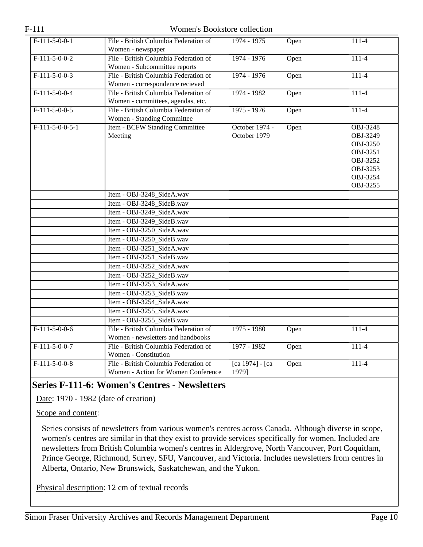| $F-111-5-0-0-1$   | File - British Columbia Federation of | 1974 - 1975        | Open | $111 - 4$       |
|-------------------|---------------------------------------|--------------------|------|-----------------|
|                   | Women - newspaper                     |                    |      |                 |
| $F-111-5-0-0-2$   | File - British Columbia Federation of | 1974 - 1976        | Open | $111-4$         |
|                   | Women - Subcommittee reports          |                    |      |                 |
| $F-111-5-0-0-3$   | File - British Columbia Federation of | 1974 - 1976        | Open | $111-4$         |
|                   | Women - correspondence recieved       |                    |      |                 |
| $F-111-5-0-0-4$   | File - British Columbia Federation of | 1974 - 1982        | Open | $111 - 4$       |
|                   | Women - committees, agendas, etc.     |                    |      |                 |
| $F-111-5-0-0-5$   | File - British Columbia Federation of | $1975 - 1976$      | Open | $111-4$         |
|                   | Women - Standing Committee            |                    |      |                 |
| $F-111-5-0-0-5-1$ | Item - BCFW Standing Committee        | October 1974 -     | Open | <b>OBJ-3248</b> |
|                   | Meeting                               | October 1979       |      | OBJ-3249        |
|                   |                                       |                    |      | OBJ-3250        |
|                   |                                       |                    |      | OBJ-3251        |
|                   |                                       |                    |      | OBJ-3252        |
|                   |                                       |                    |      | OBJ-3253        |
|                   |                                       |                    |      | OBJ-3254        |
|                   |                                       |                    |      | OBJ-3255        |
|                   | Item - OBJ-3248_SideA.wav             |                    |      |                 |
|                   | Item - OBJ-3248_SideB.wav             |                    |      |                 |
|                   | Item - OBJ-3249_SideA.wav             |                    |      |                 |
|                   | Item - OBJ-3249_SideB.wav             |                    |      |                 |
|                   | Item - OBJ-3250_SideA.wav             |                    |      |                 |
|                   | Item - OBJ-3250_SideB.wav             |                    |      |                 |
|                   | Item - OBJ-3251_SideA.wav             |                    |      |                 |
|                   | Item - OBJ-3251_SideB.wav             |                    |      |                 |
|                   | Item - OBJ-3252_SideA.wav             |                    |      |                 |
|                   | Item - OBJ-3252_SideB.wav             |                    |      |                 |
|                   | Item - OBJ-3253_SideA.wav             |                    |      |                 |
|                   | Item - OBJ-3253_SideB.wav             |                    |      |                 |
|                   | Item - OBJ-3254_SideA.wav             |                    |      |                 |
|                   | Item - OBJ-3255_SideA.wav             |                    |      |                 |
|                   | Item - OBJ-3255 SideB.wav             |                    |      |                 |
| $F-111-5-0-0-6$   | File - British Columbia Federation of | $1975 - 1980$      | Open | $111-4$         |
|                   | Women - newsletters and handbooks     |                    |      |                 |
| $F-111-5-0-0-7$   | File - British Columbia Federation of | 1977 - 1982        | Open | $111-4$         |
|                   | Women - Constitution                  |                    |      |                 |
| $F-111-5-0-0-8$   | File - British Columbia Federation of | $[ca 1974] - [ca]$ | Open | $111-4$         |
|                   | Women - Action for Women Conference   | 1979]              |      |                 |

## <span id="page-9-0"></span>**Series F-111-6: Women's Centres - Newsletters**

Date: 1970 - 1982 (date of creation)

Scope and content:

Series consists of newsletters from various women's centres across Canada. Although diverse in scope, women's centres are similar in that they exist to provide services specifically for women. Included are newsletters from British Columbia women's centres in Aldergrove, North Vancouver, Port Coquitlam, Prince George, Richmond, Surrey, SFU, Vancouver, and Victoria. Includes newsletters from centres in Alberta, Ontario, New Brunswick, Saskatchewan, and the Yukon.

Physical description: 12 cm of textual records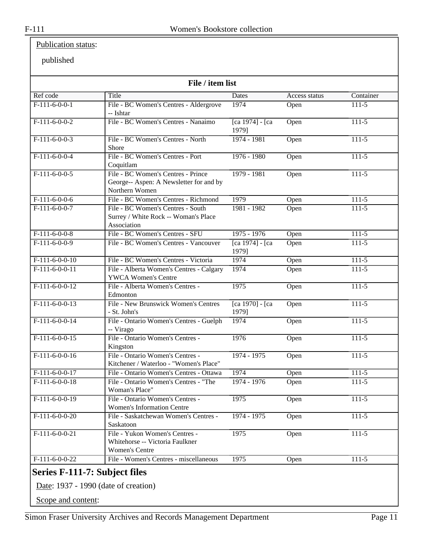## Publication status:

#### published

|                  | File / item list                                                                                |                             |               |           |
|------------------|-------------------------------------------------------------------------------------------------|-----------------------------|---------------|-----------|
| Ref code         | Title                                                                                           | Dates                       | Access status | Container |
| $F-111-6-0-0-1$  | File - BC Women's Centres - Aldergrove<br>-- Ishtar                                             | 1974                        | Open          | $111-5$   |
| $F-111-6-0-0-2$  | File - BC Women's Centres - Nanaimo                                                             | $[ca 1974] - [ca]$<br>1979] | Open          | $111-5$   |
| $F-111-6-0-0-3$  | File - BC Women's Centres - North<br>Shore                                                      | $1974 - 1981$               | Open          | $111-5$   |
| $F-111-6-0-0-4$  | File - BC Women's Centres - Port<br>Coquitlam                                                   | 1976 - 1980                 | Open          | $111-5$   |
| $F-111-6-0-0-5$  | File - BC Women's Centres - Prince<br>George-- Aspen: A Newsletter for and by<br>Northern Women | $1979 - 1981$               | Open          | $111-5$   |
| $F-111-6-0-0-6$  | File - BC Women's Centres - Richmond                                                            | 1979                        | Open          | $111-5$   |
| $F-111-6-0-0-7$  | File - BC Women's Centres - South<br>Surrey / White Rock -- Woman's Place<br>Association        | 1981 - 1982                 | Open          | $111-5$   |
| $F-111-6-0-0-8$  | File - BC Women's Centres - SFU                                                                 | $1975 - 1976$               | Open          | $111-5$   |
| $F-111-6-0-0-9$  | File - BC Women's Centres - Vancouver                                                           | [ca 1974] - [ca<br>1979]    | Open          | $111-5$   |
| $F-111-6-0-0-10$ | File - BC Women's Centres - Victoria                                                            | 1974                        | Open          | $111-5$   |
| $F-111-6-0-0-11$ | File - Alberta Women's Centres - Calgary<br><b>YWCA Women's Centre</b>                          | 1974                        | Open          | $111-5$   |
| $F-111-6-0-0-12$ | File - Alberta Women's Centres -<br>Edmonton                                                    | 1975                        | Open          | $111-5$   |
| $F-111-6-0-0-13$ | <b>File - New Brunswick Women's Centres</b><br>- St. John's                                     | [ca 1970] - [ca<br>1979]    | Open          | $111-5$   |
| $F-111-6-0-0-14$ | File - Ontario Women's Centres - Guelph<br>-- Virago                                            | 1974                        | Open          | $111-5$   |
| $F-111-6-0-0-15$ | File - Ontario Women's Centres -<br>Kingston                                                    | 1976                        | Open          | $111-5$   |
| $F-111-6-0-0-16$ | File - Ontario Women's Centres -<br>Kitchener / Waterloo - "Women's Place"                      | $1974 - 1975$               | Open          | $111-5$   |
| $F-111-6-0-0-17$ | File - Ontario Women's Centres - Ottawa                                                         | 1974                        | Open          | $111-5$   |
| $F-111-6-0-0-18$ | File - Ontario Women's Centres - "The<br>Woman's Place"                                         | 1974 - 1976                 | Open          | $111-5$   |
| $F-111-6-0-0-19$ | File - Ontario Women's Centres -<br><b>Women's Information Centre</b>                           | 1975                        | Open          | $111-5$   |
| $F-111-6-0-0-20$ | File - Saskatchewan Women's Centres -<br>Saskatoon                                              | $1974 - 1975$               | Open          | $111 - 5$ |
| $F-111-6-0-0-21$ | File - Yukon Women's Centres -<br>Whitehorse -- Victoria Faulkner<br><b>Women's Centre</b>      | 1975                        | Open          | $111-5$   |
| $F-111-6-0-0-22$ | File - Women's Centres - miscellaneous                                                          | 1975                        | Open          | $111-5$   |

<span id="page-10-0"></span>Date: 1937 - 1990 (date of creation)

Scope and content: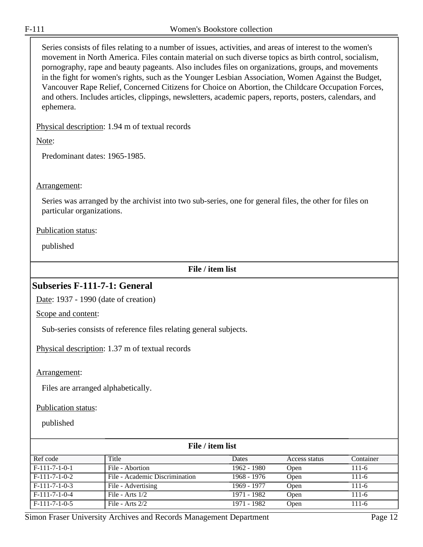Series consists of files relating to a number of issues, activities, and areas of interest to the women's movement in North America. Files contain material on such diverse topics as birth control, socialism, pornography, rape and beauty pageants. Also includes files on organizations, groups, and movements in the fight for women's rights, such as the Younger Lesbian Association, Women Against the Budget, Vancouver Rape Relief, Concerned Citizens for Choice on Abortion, the Childcare Occupation Forces, and others. Includes articles, clippings, newsletters, academic papers, reports, posters, calendars, and ephemera.

Physical description: 1.94 m of textual records

Note:

Predominant dates: 1965-1985.

#### Arrangement:

Series was arranged by the archivist into two sub-series, one for general files, the other for files on particular organizations.

#### Publication status:

published

#### **File / item list**

### <span id="page-11-0"></span>**Subseries F-111-7-1: General**

Date: 1937 - 1990 (date of creation)

Scope and content:

Sub-series consists of reference files relating general subjects.

Physical description: 1.37 m of textual records

#### Arrangement:

Files are arranged alphabetically.

#### Publication status:

| File / item list |                                |             |               |           |
|------------------|--------------------------------|-------------|---------------|-----------|
| Ref code         | Title                          | Dates       | Access status | Container |
| $F-111-7-1-0-1$  | File - Abortion                | 1962 - 1980 | Open          | 111-6     |
| $F-111-7-1-0-2$  | File - Academic Discrimination | 1968 - 1976 | Open          | $111-6$   |
| $F-111-7-1-0-3$  | File - Advertising             | 1969 - 1977 | Open          | $111-6$   |
| $F-111-7-1-0-4$  | File - Arts $1/2$              | 1971 - 1982 | Open          | $111-6$   |
| $F-111-7-1-0-5$  | File - Arts $2/2$              | 1971 - 1982 | Open          | $111-6$   |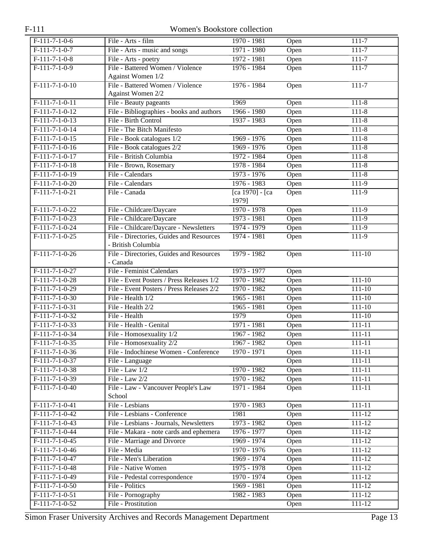| $F-111-7-1-0-6$  | File - Arts - film                        | 1970 - 1981              | Open | $111 - 7$  |
|------------------|-------------------------------------------|--------------------------|------|------------|
| $F-111-7-1-0-7$  | File - Arts - music and songs             | 1971 - 1980              | Open | $111 - 7$  |
| $F-111-7-1-0-8$  | File - Arts - poetry                      | 1972 - 1981              | Open | $111-7$    |
| $F-111-7-1-0-9$  | File - Battered Women / Violence          | $1976 - 1984$            | Open | $111 - 7$  |
|                  | Against Women 1/2                         |                          |      |            |
| $F-111-7-1-0-10$ | File - Battered Women / Violence          | 1976 - 1984              | Open | $111 - 7$  |
|                  | Against Women 2/2                         |                          |      |            |
| $F-111-7-1-0-11$ | File - Beauty pageants                    | 1969                     | Open | $111 - 8$  |
| $F-111-7-1-0-12$ | File - Bibliographies - books and authors | 1966 - 1980              | Open | $111 - 8$  |
| $F-111-7-1-0-13$ | File - Birth Control                      | 1937 - 1983              | Open | $111 - 8$  |
| $F-111-7-1-0-14$ | File - The Bitch Manifesto                |                          | Open | $111 - 8$  |
| $F-111-7-1-0-15$ | File - Book catalogues 1/2                | 1969 - 1976              | Open | $111 - 8$  |
| $F-111-7-1-0-16$ | File - Book catalogues 2/2                | 1969 - 1976              | Open | $111 - 8$  |
| $F-111-7-1-0-17$ | File - British Columbia                   | 1972 - 1984              | Open | $111 - 8$  |
| $F-111-7-1-0-18$ | File - Brown, Rosemary                    | 1978 - 1984              | Open | $111 - 8$  |
| $F-111-7-1-0-19$ | File - Calendars                          | 1973 - 1976              | Open | $111 - 8$  |
| $F-111-7-1-0-20$ | File - Calendars                          | 1976 - 1983              | Open | $111-9$    |
| $F-111-7-1-0-21$ | File - Canada                             | [ca 1970] - [ca<br>1979] | Open | 111-9      |
| $F-111-7-1-0-22$ | File - Childcare/Daycare                  | 1970 - 1978              | Open | $111-9$    |
| $F-111-7-1-0-23$ | File - Childcare/Daycare                  | $1973 - 1981$            | Open | $111-9$    |
| $F-111-7-1-0-24$ | File - Childcare/Daycare - Newsletters    | 1974 - 1979              | Open | 111-9      |
| $F-111-7-1-0-25$ | File - Directories, Guides and Resources  | 1974 - 1981              | Open | $111-9$    |
|                  | - British Columbia                        |                          |      |            |
| $F-111-7-1-0-26$ | File - Directories, Guides and Resources  | 1979 - 1982              | Open | $111 - 10$ |
|                  | - Canada                                  |                          |      |            |
| $F-111-7-1-0-27$ | File - Feminist Calendars                 | 1973 - 1977              | Open |            |
| $F-111-7-1-0-28$ | File - Event Posters / Press Releases 1/2 | 1970 - 1982              | Open | $111 - 10$ |
| $F-111-7-1-0-29$ | File - Event Posters / Press Releases 2/2 | 1970 - 1982              | Open | $111 - 10$ |
| $F-111-7-1-0-30$ | File - Health 1/2                         | $1965 - 1981$            | Open | $111 - 10$ |
| $F-111-7-1-0-31$ | File - Health 2/2                         | $1965 - 1981$            | Open | $111 - 10$ |
| $F-111-7-1-0-32$ | File - Health                             | 1979                     | Open | $111 - 10$ |
| $F-111-7-1-0-33$ | File - Health - Genital                   | $1971 - 1981$            | Open | $111 - 11$ |
| $F-111-7-1-0-34$ | File - Homosexuality 1/2                  | 1967 - 1982              | Open | $111 - 11$ |
| $F-111-7-1-0-35$ | File - Homosexuality 2/2                  | 1967 - 1982              | Open | $111 - 11$ |
| $F-111-7-1-0-36$ | File - Indochinese Women - Conference     | 1970 - 1971              | Open | 111-11     |
| $F-111-7-1-0-37$ | File - Language                           |                          | Open | $111 - 11$ |
| $F-111-7-1-0-38$ | File - Law $1/2$                          | 1970 - 1982              | Open | $111 - 11$ |
| $F-111-7-1-0-39$ | File - Law 2/2                            | 1970 - 1982              | Open | $111 - 11$ |
| $F-111-7-1-0-40$ | File - Law - Vancouver People's Law       | 1971 - 1984              | Open | $111 - 11$ |
|                  | School                                    |                          |      |            |
| $F-111-7-1-0-41$ | File - Lesbians                           | 1970 - 1983              | Open | 111-11     |
| $F-111-7-1-0-42$ | File - Lesbians - Conference              | 1981                     | Open | 111-12     |
| $F-111-7-1-0-43$ | File - Lesbians - Journals, Newsletters   | 1973 - 1982              | Open | $111 - 12$ |
| $F-111-7-1-0-44$ | File - Makara - note cards and ephemera   | 1976 - 1977              | Open | $111 - 12$ |
| $F-111-7-1-0-45$ | File - Marriage and Divorce               | 1969 - 1974              | Open | 111-12     |
| $F-111-7-1-0-46$ | File - Media                              | 1970 - 1976              | Open | 111-12     |
| $F-111-7-1-0-47$ | File - Men's Liberation                   | 1969 - 1974              | Open | 111-12     |
| $F-111-7-1-0-48$ | File - Native Women                       | 1975 - 1978              | Open | 111-12     |
| $F-111-7-1-0-49$ | File - Pedestal correspondence            | 1970 - 1974              | Open | $111 - 12$ |
| $F-111-7-1-0-50$ | File - Politics                           | 1969 - 1981              | Open | $111 - 12$ |
| $F-111-7-1-0-51$ | File - Pornography                        | 1982 - 1983              | Open | 111-12     |
| $F-111-7-1-0-52$ | File - Prostitution                       |                          | Open | 111-12     |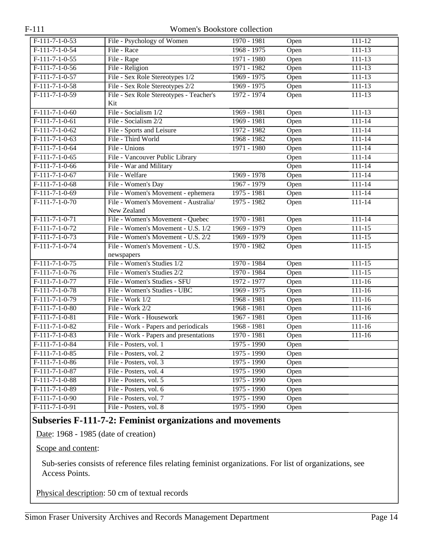| $F-111-7-1-0-53$ | File - Psychology of Women              | 1970 - 1981   | Open              | 111-12     |
|------------------|-----------------------------------------|---------------|-------------------|------------|
| $F-111-7-1-0-54$ | File - Race                             | $1968 - 1975$ | Open              | $111 - 13$ |
| $F-111-7-1-0-55$ | File - Rape                             | 1971 - 1980   | Open              | $111 - 13$ |
| $F-111-7-1-0-56$ | File - Religion                         | $1971 - 1982$ | Open              | $111 - 13$ |
| $F-111-7-1-0-57$ | File - Sex Role Stereotypes 1/2         | $1969 - 1975$ | Open              | $111 - 13$ |
| $F-111-7-1-0-58$ | File - Sex Role Stereotypes 2/2         | $1969 - 1975$ | Open              | $111 - 13$ |
| $F-111-7-1-0-59$ | File - Sex Role Stereotypes - Teacher's | 1972 - 1974   | Open              | 111-13     |
|                  | Kit                                     |               |                   |            |
| $F-111-7-1-0-60$ | File - Socialism 1/2                    | 1969 - 1981   | Open              | $111 - 13$ |
| $F-111-7-1-0-61$ | File - Socialism 2/2                    | $1969 - 1981$ | Open              | $111 - 14$ |
| $F-111-7-1-0-62$ | File - Sports and Leisure               | 1972 - 1982   | Open              | $111 - 14$ |
| $F-111-7-1-0-63$ | File - Third World                      | 1968 - 1982   | Open              | $111 - 14$ |
| $F-111-7-1-0-64$ | File - Unions                           | 1971 - 1980   | Open              | $111 - 14$ |
| $F-111-7-1-0-65$ | File - Vancouver Public Library         |               | Open              | $111 - 14$ |
| $F-111-7-1-0-66$ | File - War and Military                 |               | Open              | $111 - 14$ |
| $F-111-7-1-0-67$ | File - Welfare                          | $1969 - 1978$ | Open              | $111 - 14$ |
| $F-111-7-1-0-68$ | File - Women's Day                      | 1967 - 1979   | Open              | $111 - 14$ |
| $F-111-7-1-0-69$ | File - Women's Movement - ephemera      | 1975 - 1981   | Open              | $111 - 14$ |
| $F-111-7-1-0-70$ | File - Women's Movement - Australia/    | $1975 - 1982$ | Open              | 111-14     |
|                  | New Zealand                             |               |                   |            |
| $F-111-7-1-0-71$ | File - Women's Movement - Quebec        | 1970 - 1981   | Open              | 111-14     |
| $F-111-7-1-0-72$ | File - Women's Movement - U.S. 1/2      | 1969 - 1979   | Open              | $111 - 15$ |
| $F-111-7-1-0-73$ | File - Women's Movement - U.S. 2/2      | 1969 - 1979   | $\overline{Open}$ | $111 - 15$ |
| $F-111-7-1-0-74$ | File - Women's Movement - U.S.          | 1970 - 1982   | Open              | $111 - 15$ |
|                  | newspapers                              |               |                   |            |
| $F-111-7-1-0-75$ | File - Women's Studies 1/2              | 1970 - 1984   | Open              | $111 - 15$ |
| $F-111-7-1-0-76$ | File - Women's Studies 2/2              | 1970 - 1984   | Open              | $111 - 15$ |
| $F-111-7-1-0-77$ | File - Women's Studies - SFU            | 1972 - 1977   | Open              | $111 - 16$ |
| $F-111-7-1-0-78$ | File - Women's Studies - UBC            | $1969 - 1975$ | Open              | $111 - 16$ |
| $F-111-7-1-0-79$ | File - Work 1/2                         | $1968 - 1981$ | Open              | $111 - 16$ |
| $F-111-7-1-0-80$ | File - Work 2/2                         | 1968 - 1981   | Open              | $111 - 16$ |
| $F-111-7-1-0-81$ | File - Work - Housework                 | 1967 - 1981   | Open              | $111 - 16$ |
| $F-111-7-1-0-82$ | File - Work - Papers and periodicals    | $1968 - 1981$ | Open              | $111 - 16$ |
| $F-111-7-1-0-83$ | File - Work - Papers and presentations  | 1970 - 1981   | Open              | $111 - 16$ |
| $F-111-7-1-0-84$ | File - Posters, vol. 1                  | 1975 - 1990   | Open              |            |
| $F-111-7-1-0-85$ | File - Posters, vol. 2                  | 1975 - 1990   | Open              |            |
| F-111-7-1-0-86   | File - Posters, vol. 3                  | 1975 - 1990   | Open              |            |
| F-111-7-1-0-87   | File - Posters, vol. 4                  | 1975 - 1990   | Open              |            |
| $F-111-7-1-0-88$ | File - Posters, vol. 5                  | $1975 - 1990$ | Open              |            |
| F-111-7-1-0-89   | File - Posters, vol. 6                  | 1975 - 1990   | Open              |            |
| $F-111-7-1-0-90$ | File - Posters, vol. 7                  | 1975 - 1990   | Open              |            |
| $F-111-7-1-0-91$ | File - Posters, vol. 8                  | $1975 - 1990$ | Open              |            |

## <span id="page-13-0"></span>**Subseries F-111-7-2: Feminist organizations and movements**

Date: 1968 - 1985 (date of creation)

Scope and content:

Sub-series consists of reference files relating feminist organizations. For list of organizations, see Access Points.

Physical description: 50 cm of textual records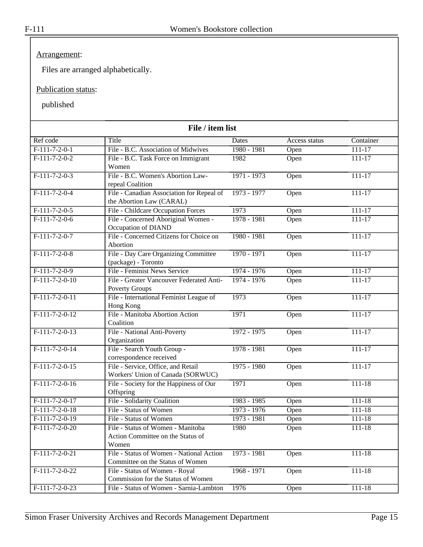### Arrangement:

Files are arranged alphabetically.

#### Publication status:

| File / item list |                                                                                 |               |               |            |  |
|------------------|---------------------------------------------------------------------------------|---------------|---------------|------------|--|
| Ref code         | Title                                                                           | Dates         | Access status | Container  |  |
| $F-111-7-2-0-1$  | File - B.C. Association of Midwives                                             | 1980 - 1981   | Open          | $111 - 17$ |  |
| $F-111-7-2-0-2$  | File - B.C. Task Force on Immigrant<br>Women                                    | 1982          | Open          | $111 - 17$ |  |
| $F-111-7-2-0-3$  | File - B.C. Women's Abortion Law-<br>repeal Coalition                           | $1971 - 1973$ | Open          | $111 - 17$ |  |
| $F-111-7-2-0-4$  | File - Canadian Association for Repeal of<br>the Abortion Law (CARAL)           | 1973 - 1977   | Open          | $111 - 17$ |  |
| $F-111-7-2-0-5$  | File - Childcare Occupation Forces                                              | 1973          | Open          | $111 - 17$ |  |
| $F-111-7-2-0-6$  | File - Concerned Aboriginal Women -<br>Occupation of DIAND                      | $1978 - 1981$ | Open          | 111-17     |  |
| $F-111-7-2-0-7$  | File - Concerned Citizens for Choice on<br>Abortion                             | 1980 - 1981   | Open          | $111 - 17$ |  |
| $F-111-7-2-0-8$  | File - Day Care Organizing Committee<br>(package) - Toronto                     | $1970 - 1971$ | Open          | $111 - 17$ |  |
| $F-111-7-2-0-9$  | File - Feminist News Service                                                    | $1974 - 1976$ | Open          | $111 - 17$ |  |
| $F-111-7-2-0-10$ | File - Greater Vancouver Federated Anti-<br>Poverty Groups                      | $1974 - 1976$ | Open          | $111 - 17$ |  |
| $F-111-7-2-0-11$ | File - International Feminist League of<br>Hong Kong                            | 1973          | Open          | $111 - 17$ |  |
| $F-111-7-2-0-12$ | File - Manitoba Abortion Action<br>Coalition                                    | 1971          | Open          | $111 - 17$ |  |
| $F-111-7-2-0-13$ | File - National Anti-Poverty<br>Organization                                    | 1972 - 1975   | Open          | $111 - 17$ |  |
| $F-111-7-2-0-14$ | File - Search Youth Group -<br>correspondence received                          | $1978 - 1981$ | Open          | $111 - 17$ |  |
| $F-111-7-2-0-15$ | File - Service, Office, and Retail<br>Workers' Union of Canada (SORWUC)         | $1975 - 1980$ | Open          | $111 - 17$ |  |
| $F-111-7-2-0-16$ | File - Society for the Happiness of Our<br>Offspring                            | 1971          | Open          | $111 - 18$ |  |
| $F-111-7-2-0-17$ | File - Solidarity Coalition                                                     | 1983 - 1985   | Open          | $111 - 18$ |  |
| $F-111-7-2-0-18$ | File - Status of Women                                                          | 1973 - 1976   | Open          | $111 - 18$ |  |
| $F-111-7-2-0-19$ | File - Status of Women                                                          | 1973 - 1981   | Open          | 111-18     |  |
| $F-111-7-2-0-20$ | File - Status of Women - Manitoba<br>Action Committee on the Status of<br>Women | 1980          | Open          | $111 - 18$ |  |
| $F-111-7-2-0-21$ | File - Status of Women - National Action<br>Committee on the Status of Women    | $1973 - 1981$ | Open          | $111 - 18$ |  |
| $F-111-7-2-0-22$ | File - Status of Women - Royal<br>Commission for the Status of Women            | $1968 - 1971$ | Open          | $111 - 18$ |  |
| $F-111-7-2-0-23$ | File - Status of Women - Sarnia-Lambton                                         | 1976          | Open          | $111 - 18$ |  |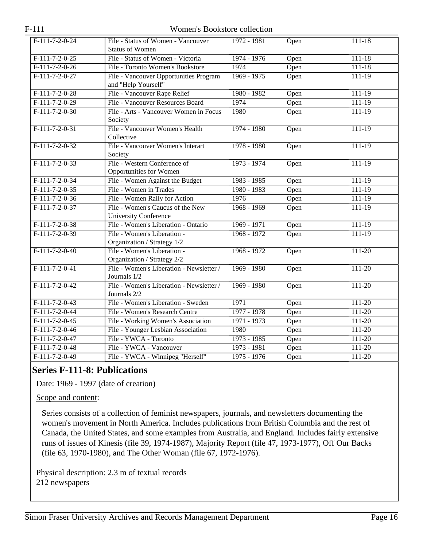| $F-111-7-2-0-24$ | File - Status of Women - Vancouver<br><b>Status of Women</b> | $1972 - 1981$ | Open | 111-18     |
|------------------|--------------------------------------------------------------|---------------|------|------------|
| $F-111-7-2-0-25$ | File - Status of Women - Victoria                            | 1974 - 1976   | Open | $111 - 18$ |
| $F-111-7-2-0-26$ | File - Toronto Women's Bookstore                             | 1974          | Open | $111 - 18$ |
| $F-111-7-2-0-27$ | File - Vancouver Opportunities Program                       | $1969 - 1975$ | Open | $111 - 19$ |
|                  | and "Help Yourself"                                          |               |      |            |
| $F-111-7-2-0-28$ | File - Vancouver Rape Relief                                 | 1980 - 1982   | Open | $111 - 19$ |
| $F-111-7-2-0-29$ | File - Vancouver Resources Board                             | 1974          | Open | $111 - 19$ |
| $F-111-7-2-0-30$ | File - Arts - Vancouver Women in Focus                       | 1980          | Open | $111 - 19$ |
|                  | Society                                                      |               |      |            |
| $F-111-7-2-0-31$ | File - Vancouver Women's Health                              | 1974 - 1980   | Open | $111 - 19$ |
|                  | Collective                                                   |               |      |            |
| $F-111-7-2-0-32$ | File - Vancouver Women's Interart                            | 1978 - 1980   | Open | $111 - 19$ |
|                  | Society                                                      |               |      |            |
| $F-111-7-2-0-33$ | File - Western Conference of                                 | 1973 - 1974   | Open | $111 - 19$ |
|                  | Opportunities for Women                                      |               |      |            |
| $F-111-7-2-0-34$ | File - Women Against the Budget                              | 1983 - 1985   | Open | $111 - 19$ |
| $F-111-7-2-0-35$ | File - Women in Trades                                       | 1980 - 1983   | Open | $111-19$   |
| $F-111-7-2-0-36$ | File - Women Rally for Action                                | 1976          | Open | 111-19     |
| $F-111-7-2-0-37$ | File - Women's Caucus of the New                             | 1968 - 1969   | Open | $111 - 19$ |
|                  | <b>University Conference</b>                                 |               |      |            |
| $F-111-7-2-0-38$ | File - Women's Liberation - Ontario                          | 1969 - 1971   | Open | $111 - 19$ |
| $F-111-7-2-0-39$ | File - Women's Liberation -                                  | 1968 - 1972   | Open | $111 - 19$ |
|                  | Organization / Strategy 1/2                                  |               |      |            |
| $F-111-7-2-0-40$ | File - Women's Liberation -                                  | 1968 - 1972   | Open | $111 - 20$ |
|                  | Organization / Strategy 2/2                                  |               |      |            |
| $F-111-7-2-0-41$ | File - Women's Liberation - Newsletter /                     | $1969 - 1980$ | Open | $111 - 20$ |
|                  | Journals 1/2                                                 |               |      |            |
| $F-111-7-2-0-42$ | File - Women's Liberation - Newsletter /                     | 1969 - 1980   | Open | $111 - 20$ |
|                  | Journals 2/2                                                 |               |      |            |
| $F-111-7-2-0-43$ | File - Women's Liberation - Sweden                           | 1971          | Open | $111 - 20$ |
| $F-111-7-2-0-44$ | File - Women's Research Centre                               | 1977 - 1978   | Open | $111 - 20$ |
| $F-111-7-2-0-45$ | File - Working Women's Association                           | 1971 - 1973   | Open | $111 - 20$ |
| $F-111-7-2-0-46$ | File - Younger Lesbian Association                           | 1980          | Open | $111 - 20$ |
| $F-111-7-2-0-47$ | File - YWCA - Toronto                                        | 1973 - 1985   | Open | $111 - 20$ |
| $F-111-7-2-0-48$ | File - YWCA - Vancouver                                      | $1973 - 1981$ | Open | $111 - 20$ |
| $F-111-7-2-0-49$ | File - YWCA - Winnipeg "Herself"                             | $1975 - 1976$ | Open | $111 - 20$ |

## <span id="page-15-0"></span>**Series F-111-8: Publications**

Date: 1969 - 1997 (date of creation)

Scope and content:

Series consists of a collection of feminist newspapers, journals, and newsletters documenting the women's movement in North America. Includes publications from British Columbia and the rest of Canada, the United States, and some examples from Australia, and England. Includes fairly extensive runs of issues of Kinesis (file 39, 1974-1987), Majority Report (file 47, 1973-1977), Off Our Backs (file 63, 1970-1980), and The Other Woman (file 67, 1972-1976).

Physical description: 2.3 m of textual records 212 newspapers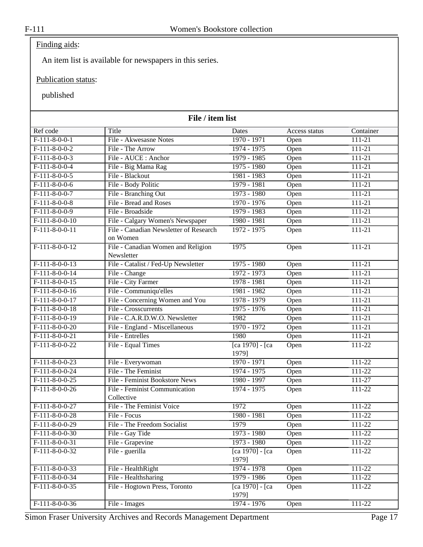## Finding aids:

An item list is available for newspapers in this series.

#### Publication status:

| File / item list |                                             |                           |               |            |
|------------------|---------------------------------------------|---------------------------|---------------|------------|
| Ref code         | Title                                       | Dates                     | Access status | Container  |
| $F-111-8-0-0-1$  | File - Akwesasne Notes                      | $1970 - 1971$             | Open          | $111 - 21$ |
| $F-111-8-0-0-2$  | File - The Arrow                            | 1974 - 1975               | Open          | 111-21     |
| $F-111-8-0-0-3$  | File - AUCE : Anchor                        | 1979 - 1985               | Open          | $111 - 21$ |
| $F-111-8-0-0-4$  | File - Big Mama Rag                         | $1975 - 1980$             | Open          | $111 - 21$ |
| $F-111-8-0-0-5$  | File - Blackout                             | 1981 - 1983               | Open          | $111 - 21$ |
| $F-111-8-0-0-6$  | File - Body Politic                         | 1979 - 1981               | Open          | $111 - 21$ |
| $F-111-8-0-0-7$  | File - Branching Out                        | $1973 - 1980$             | Open          | $111 - 21$ |
| $F-111-8-0-0-8$  | File - Bread and Roses                      | 1970 - 1976               | Open          | 111-21     |
| $F-111-8-0-0-9$  | File - Broadside                            | 1979 - 1983               | Open          | $111 - 21$ |
| $F-111-8-0-0-10$ | File - Calgary Women's Newspaper            | 1980 - 1981               | Open          | $111 - 21$ |
| $F-111-8-0-0-11$ | File - Canadian Newsletter of Research      | $1972 - 1975$             | Open          | 111-21     |
|                  | on Women                                    |                           |               |            |
| $F-111-8-0-0-12$ | File - Canadian Women and Religion          | 1975                      | Open          | $111 - 21$ |
|                  | Newsletter                                  |                           |               |            |
| $F-111-8-0-0-13$ | File - Catalist / Fed-Up Newsletter         | $1975 - 1980$             | Open          | $111 - 21$ |
| $F-111-8-0-0-14$ | File - Change                               | $1972 - 1973$             | Open          | 111-21     |
| $F-111-8-0-0-15$ | File - City Farmer                          | 1978 - 1981               | Open          | $111 - 21$ |
| $F-111-8-0-0-16$ | File - Communiqu'elles                      | 1981 - 1982               | Open          | $111 - 21$ |
| $F-111-8-0-0-17$ | File - Concerning Women and You             | 1978 - 1979               | Open          | $111 - 21$ |
| $F-111-8-0-0-18$ | File - Crosscurrents                        | 1975 - 1976               | Open          | $111 - 21$ |
| $F-111-8-0-0-19$ | File - C.A.R.D.W.O. Newsletter              | 1982                      | Open          | $111 - 21$ |
| $F-111-8-0-0-20$ | File - England - Miscellaneous              | 1970 - 1972               | Open          | 111-21     |
| $F-111-8-0-0-21$ | File - Entrelles                            | 1980                      | Open          | $111 - 21$ |
| $F-111-8-0-0-22$ | File - Equal Times                          | [ca 1970] - [ca<br>1979]  | Open          | $111 - 22$ |
| $F-111-8-0-0-23$ | File - Everywoman                           | 1970 - 1971               | Open          | $111 - 22$ |
| $F-111-8-0-0-24$ | File - The Feminist                         | 1974 - 1975               | Open          | $111 - 22$ |
| $F-111-8-0-0-25$ | File - Feminist Bookstore News              | 1980 - 1997               | Open          | $111 - 27$ |
| $F-111-8-0-0-26$ | File - Feminist Communication<br>Collective | 1974 - 1975               | Open          | 111-22     |
| $F-111-8-0-0-27$ | File - The Feminist Voice                   | 1972                      | Open          | $111 - 22$ |
| $F-111-8-0-0-28$ | File - Focus                                | 1980 - 1981               | Open          | $111 - 22$ |
| F-111-8-0-0-29   | File - The Freedom Socialist                | 1979                      | Open          | 111-22     |
| $F-111-8-0-0-30$ | File - Gay Tide                             | 1973 - 1980               | Open          | 111-22     |
| $F-111-8-0-0-31$ | File - Grapevine                            | 1973 - 1980               | Open          | 111-22     |
| $F-111-8-0-0-32$ | File - guerilla                             | [ca 1970] - [ca<br>1979]  | Open          | 111-22     |
| $F-111-8-0-0-33$ | File - HealthRight                          | 1974 - 1978               | Open          | 111-22     |
| $F-111-8-0-0-34$ | File - Healthsharing                        | 1979 - 1986               | Open          | 111-22     |
| $F-111-8-0-0-35$ | File - Hogtown Press, Toronto               | [ca 1970] - [ca]<br>1979] | Open          | 111-22     |
| $F-111-8-0-0-36$ | File - Images                               | 1974 - 1976               | Open          | $111 - 22$ |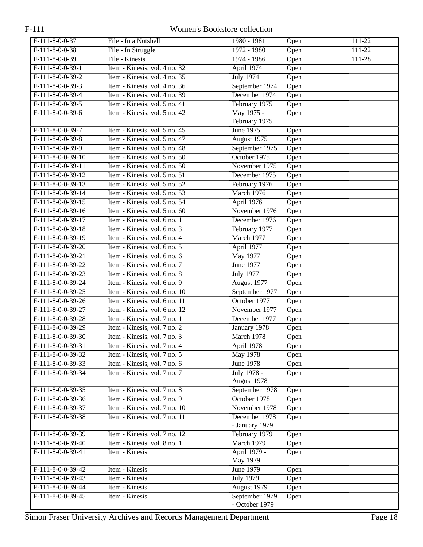| F-111-8-0-0-37                 | File - In a Nutshell          | 1980 - 1981                    |      | 111-22     |
|--------------------------------|-------------------------------|--------------------------------|------|------------|
| $F-111-8-0-0-38$               | File - In Struggle            | 1972 - 1980                    | Open | $111 - 22$ |
| $F-111-8-0-0-39$               |                               |                                | Open |            |
|                                | File - Kinesis                | 1974 - 1986                    | Open | 111-28     |
| $F-111-8-0-0-39-1$             | Item - Kinesis, vol. 4 no. 32 | April 1974                     | Open |            |
| $F-111-8-0-0-39-2$             | Item - Kinesis, vol. 4 no. 35 | <b>July 1974</b>               | Open |            |
| $F-111-8-0-0-39-3$             | Item - Kinesis, vol. 4 no. 36 | September 1974                 | Open |            |
| $F-111-8-0-0-39-4$             | Item - Kinesis, vol. 4 no. 39 | December 1974                  | Open |            |
| $F-111-8-0-0-39-5$             | Item - Kinesis, vol. 5 no. 41 | February 1975                  | Open |            |
| $F-111-8-0-0-39-6$             | Item - Kinesis, vol. 5 no. 42 | May 1975 -                     | Open |            |
|                                |                               | February 1975                  |      |            |
| $F-111-8-0-0-39-7$             | Item - Kinesis, vol. 5 no. 45 | <b>June 1975</b>               | Open |            |
| $F-111-8-0-0-39-8$             | Item - Kinesis, vol. 5 no. 47 | August 1975                    | Open |            |
| $F-111-8-0-0-39-9$             | Item - Kinesis, vol. 5 no. 48 | September 1975                 | Open |            |
| $F-111-8-0-0-39-10$            | Item - Kinesis, vol. 5 no. 50 | October 1975                   | Open |            |
| $F-111-8-0-0-39-11$            | Item - Kinesis, vol. 5 no. 50 | November 1975                  | Open |            |
| $F-111-8-0-0-39-12$            | Item - Kinesis, vol. 5 no. 51 | December 1975                  | Open |            |
| $F-111-8-0-0-39-13$            | Item - Kinesis, vol. 5 no. 52 | February 1976                  | Open |            |
| F-111-8-0-0-39-14              | Item - Kinesis, vol. 5 no. 53 | March 1976                     | Open |            |
| $F-111-8-0-0-39-15$            | Item - Kinesis, vol. 5 no. 54 | April 1976                     | Open |            |
| F-111-8-0-0-39-16              | Item - Kinesis, vol. 5 no. 60 | November 1976                  | Open |            |
| $F-111-8-0-0-39-17$            | Item - Kinesis, vol. 6 no. 1  | December 1976                  | Open |            |
| $F-111-8-0-0-39-18$            | Item - Kinesis, vol. 6 no. 3  | February 1977                  | Open |            |
| F-111-8-0-0-39-19              | Item - Kinesis, vol. 6 no. 4  | March 1977                     | Open |            |
| $F-111-8-0-0-39-20$            | Item - Kinesis, vol. 6 no. 5  | April 1977                     | Open |            |
| $F-111-8-0-0-39-21$            | Item - Kinesis, vol. 6 no. 6  | May 1977                       | Open |            |
| F-111-8-0-0-39-22              | Item - Kinesis, vol. 6 no. 7  | <b>June 1977</b>               | Open |            |
| $F-111-8-0-0-39-23$            | Item - Kinesis, vol. 6 no. 8  | <b>July 1977</b>               | Open |            |
| $F-111-8-0-0-39-24$            | Item - Kinesis, vol. 6 no. 9  | August 1977                    | Open |            |
| F-111-8-0-0-39-25              | Item - Kinesis, vol. 6 no. 10 | September 1977                 | Open |            |
| F-111-8-0-0-39-26              | Item - Kinesis, vol. 6 no. 11 | October 1977                   | Open |            |
| F-111-8-0-0-39-27              | Item - Kinesis, vol. 6 no. 12 | November 1977                  | Open |            |
| F-111-8-0-0-39-28              | Item - Kinesis, vol. 7 no. 1  | December 1977                  | Open |            |
| $F-111-8-0-0-39-29$            | Item - Kinesis, vol. 7 no. 2  | January 1978                   | Open |            |
| $F-111-8-0-0-39-30$            | Item - Kinesis, vol. 7 no. 3  | March 1978                     |      |            |
| $F-111-8-0-0-39-31$            | Item - Kinesis, vol. 7 no. 4  | April 1978                     | Open |            |
|                                |                               |                                | Open |            |
| F-111-8-0-0-39-32              | Item - Kinesis, vol. 7 no. 5  | May 1978                       | Open |            |
| F-111-8-0-0-39-33              | Item - Kinesis, vol. 7 no. 6  | June 1978                      | Open |            |
| $F-111-8-0-0-39-34$            | Item - Kinesis, vol. 7 no. 7  | July 1978 -                    | Open |            |
| $F-111-8-0-0-39-35$            | Item - Kinesis, vol. 7 no. 8  | August 1978                    |      |            |
| $F-111-8-0-0-39-36$            |                               | September 1978<br>October 1978 | Open |            |
|                                | Item - Kinesis, vol. 7 no. 9  |                                | Open |            |
| F-111-8-0-0-39-37              | Item - Kinesis, vol. 7 no. 10 | November 1978                  | Open |            |
| $F-111-8-0-0-39-38$            | Item - Kinesis, vol. 7 no. 11 | December 1978                  | Open |            |
|                                |                               | - January 1979                 |      |            |
| $F-111-\overline{8-0-0-39-39}$ | Item - Kinesis, vol. 7 no. 12 | February 1979                  | Open |            |
| $F-111-8-0-0-39-40$            | Item - Kinesis, vol. 8 no. 1  | March 1979                     | Open |            |
| $F-111-8-0-0-39-41$            | Item - Kinesis                | April 1979 -                   | Open |            |
|                                |                               | May 1979                       |      |            |
| $F-111-8-0-0-39-42$            | Item - Kinesis                | June 1979                      | Open |            |
| F-111-8-0-0-39-43              | Item - Kinesis                | <b>July 1979</b>               | Open |            |
| $F-111-8-0-0-39-44$            | Item - Kinesis                | August 1979                    | Open |            |
| $F-111-8-0-0-39-45$            | Item - Kinesis                | September 1979                 | Open |            |
|                                |                               | - October 1979                 |      |            |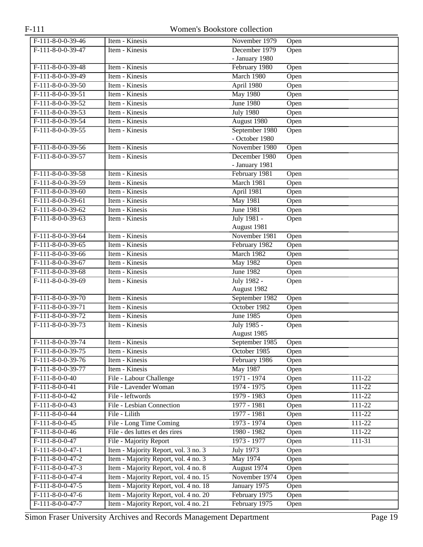| $F-111-8-0-0-39-46$ | Item - Kinesis                        | November 1979    | Open |            |
|---------------------|---------------------------------------|------------------|------|------------|
| $F-111-8-0-0-39-47$ | Item - Kinesis                        | December 1979    | Open |            |
|                     |                                       | - January 1980   |      |            |
| $F-111-8-0-0-39-48$ | Item - Kinesis                        | February 1980    | Open |            |
| $F-111-8-0-0-39-49$ | Item - Kinesis                        | March 1980       | Open |            |
| $F-111-8-0-0-39-50$ | Item - Kinesis                        | April 1980       | Open |            |
| $F-111-8-0-0-39-51$ | Item - Kinesis                        | <b>May 1980</b>  | Open |            |
| $F-111-8-0-0-39-52$ | Item - Kinesis                        | <b>June 1980</b> | Open |            |
| $F-111-8-0-0-39-53$ | Item - Kinesis                        | <b>July 1980</b> | Open |            |
| $F-111-8-0-0-39-54$ | Item - Kinesis                        | August 1980      | Open |            |
| $F-111-8-0-0-39-55$ | Item - Kinesis                        | September 1980   | Open |            |
|                     |                                       | - October 1980   |      |            |
| $F-111-8-0-0-39-56$ | Item - Kinesis                        | November 1980    | Open |            |
| $F-111-8-0-0-39-57$ | Item - Kinesis                        | December 1980    | Open |            |
|                     |                                       | - January 1981   |      |            |
| $F-111-8-0-0-39-58$ | Item - Kinesis                        | February 1981    | Open |            |
| $F-111-8-0-0-39-59$ | Item - Kinesis                        | March 1981       | Open |            |
| $F-111-8-0-0-39-60$ | Item - Kinesis                        | April 1981       | Open |            |
| $F-111-8-0-0-39-61$ | Item - Kinesis                        | <b>May 1981</b>  | Open |            |
| $F-111-8-0-0-39-62$ | Item - Kinesis                        | <b>June 1981</b> | Open |            |
| $F-111-8-0-0-39-63$ | Item - Kinesis                        | July 1981 -      | Open |            |
|                     |                                       | August 1981      |      |            |
| $F-111-8-0-0-39-64$ | Item - Kinesis                        | November 1981    | Open |            |
| $F-111-8-0-0-39-65$ | Item - Kinesis                        | February 1982    | Open |            |
| $F-111-8-0-0-39-66$ | Item - Kinesis                        | March 1982       | Open |            |
| $F-111-8-0-0-39-67$ | Item - Kinesis                        | <b>May 1982</b>  | Open |            |
| $F-111-8-0-0-39-68$ | Item - Kinesis                        | <b>June 1982</b> | Open |            |
| $F-111-8-0-0-39-69$ | Item - Kinesis                        | July 1982 -      | Open |            |
|                     |                                       | August 1982      |      |            |
| $F-111-8-0-0-39-70$ | Item - Kinesis                        | September 1982   | Open |            |
| $F-111-8-0-0-39-71$ | Item - Kinesis                        | October 1982     | Open |            |
| $F-111-8-0-0-39-72$ | Item - Kinesis                        | <b>June 1985</b> | Open |            |
| $F-111-8-0-0-39-73$ | Item - Kinesis                        | July 1985 -      | Open |            |
|                     |                                       | August 1985      |      |            |
| $F-111-8-0-0-39-74$ | Item - Kinesis                        | September 1985   | Open |            |
| $F-111-8-0-0-39-75$ | Item - Kinesis                        | October 1985     | Open |            |
| F-111-8-0-0-39-76   | Item - Kinesis                        | February 1986    | Open |            |
| $F-111-8-0-0-39-77$ | Item - Kinesis                        | <b>May 1987</b>  | Open |            |
| $F-111-8-0-0-40$    | File - Labour Challenge               | 1971 - 1974      | Open | $111 - 22$ |
| $F-111-8-0-0-41$    | File - Lavender Woman                 | $1974 - 1975$    | Open | $111 - 22$ |
| $F-111-8-0-0-42$    | File - leftwords                      | 1979 - 1983      | Open | 111-22     |
| $F-111-8-0-0-43$    | File - Lesbian Connection             | 1977 - 1981      | Open | 111-22     |
| $F-111-8-0-0-44$    | File - Lilith                         | 1977 - 1981      | Open | 111-22     |
| $F-111-8-0-0-45$    | File - Long Time Coming               | 1973 - 1974      | Open | $111 - 22$ |
| $F-111-8-0-0-46$    | File - des luttes et des rires        | 1980 - 1982      | Open | 111-22     |
| $F-111-8-0-0-47$    | File - Majority Report                | 1973 - 1977      | Open | 111-31     |
| $F-111-8-0-0-47-1$  | Item - Majority Report, vol. 3 no. 3  | <b>July 1973</b> | Open |            |
| $F-111-8-0-0-47-2$  | Item - Majority Report, vol. 4 no. 3  | May 1974         | Open |            |
| $F-111-8-0-0-47-3$  | Item - Majority Report, vol. 4 no. 8  | August 1974      | Open |            |
| $F-111-8-0-0-47-4$  | Item - Majority Report, vol. 4 no. 15 | November 1974    | Open |            |
| $F-111-8-0-0-47-5$  | Item - Majority Report, vol. 4 no. 18 | January 1975     | Open |            |
| $F-111-8-0-0-47-6$  | Item - Majority Report, vol. 4 no. 20 | February 1975    | Open |            |
| $F-111-8-0-0-47-7$  | Item - Majority Report, vol. 4 no. 21 | February 1975    | Open |            |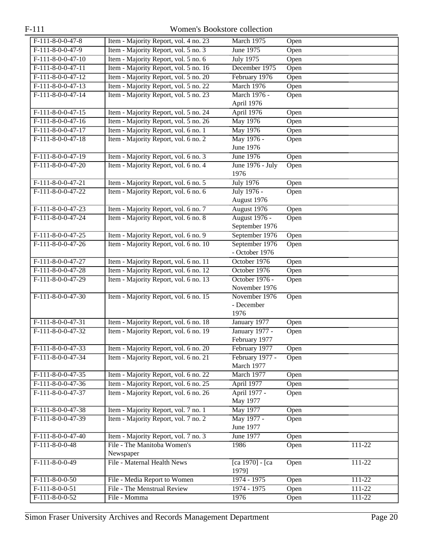| $F-111-8-0-0-47-8$  | Item - Majority Report, vol. 4 no. 23                                          | March 1975                     | Open |            |
|---------------------|--------------------------------------------------------------------------------|--------------------------------|------|------------|
| $F-111-8-0-0-47-9$  | Item - Majority Report, vol. 5 no. 3                                           | June 1975                      | Open |            |
| $F-111-8-0-0-47-10$ | Item - Majority Report, vol. 5 no. 6                                           | <b>July 1975</b>               | Open |            |
| $F-111-8-0-0-47-11$ | Item - Majority Report, vol. 5 no. 16                                          | December 1975                  | Open |            |
| $F-111-8-0-0-47-12$ | Item - Majority Report, vol. 5 no. 20                                          | February 1976                  | Open |            |
| $F-111-8-0-0-47-13$ | Item - Majority Report, vol. 5 no. 22                                          | March 1976                     | Open |            |
| $F-111-8-0-0-47-14$ | Item - Majority Report, vol. 5 no. 23                                          | March 1976 -                   | Open |            |
|                     |                                                                                | April 1976                     |      |            |
| $F-111-8-0-0-47-15$ | Item - Majority Report, vol. 5 no. 24                                          | April 1976                     | Open |            |
| $F-111-8-0-0-47-16$ | Item - Majority Report, vol. 5 no. 26                                          | <b>May 1976</b>                | Open |            |
| $F-111-8-0-0-47-17$ | Item - Majority Report, vol. 6 no. 1                                           | May 1976                       | Open |            |
| $F-111-8-0-0-47-18$ | Item - Majority Report, vol. 6 no. 2                                           | May 1976 -                     | Open |            |
|                     |                                                                                | June 1976                      |      |            |
| $F-111-8-0-0-47-19$ | Item - Majority Report, vol. 6 no. 3                                           | <b>June 1976</b>               | Open |            |
| F-111-8-0-0-47-20   | Item - Majority Report, vol. 6 no. 4                                           | June 1976 - July<br>1976       | Open |            |
| $F-111-8-0-0-47-21$ | Item - Majority Report, vol. 6 no. 5                                           | <b>July 1976</b>               | Open |            |
| $F-111-8-0-0-47-22$ | Item - Majority Report, vol. 6 no. 6                                           | July 1976 -                    | Open |            |
|                     |                                                                                | August 1976                    |      |            |
| $F-111-8-0-0-47-23$ | Item - Majority Report, vol. 6 no. 7                                           | August 1976                    | Open |            |
| $F-111-8-0-0-47-24$ | Item - Majority Report, vol. 6 no. 8                                           | <b>August 1976 -</b>           | Open |            |
|                     |                                                                                | September 1976                 |      |            |
| $F-111-8-0-0-47-25$ | Item - Majority Report, vol. 6 no. 9                                           | September 1976                 | Open |            |
| F-111-8-0-0-47-26   | Item - Majority Report, vol. 6 no. 10                                          | September 1976                 | Open |            |
|                     |                                                                                | - October 1976                 |      |            |
| $F-111-8-0-0-47-27$ | Item - Majority Report, vol. 6 no. 11                                          | October 1976                   | Open |            |
| $F-111-8-0-0-47-28$ | Item - Majority Report, vol. 6 no. 12                                          | October 1976                   | Open |            |
| F-111-8-0-0-47-29   | Item - Majority Report, vol. 6 no. 13                                          | October 1976 -                 | Open |            |
|                     |                                                                                | November 1976                  |      |            |
| $F-111-8-0-0-47-30$ | Item - Majority Report, vol. 6 no. 15                                          | November 1976                  | Open |            |
|                     |                                                                                | - December                     |      |            |
|                     |                                                                                | 1976                           |      |            |
| $F-111-8-0-0-47-31$ | Item - Majority Report, vol. 6 no. 18                                          | January 1977                   | Open |            |
| $F-111-8-0-0-47-32$ | Item - Majority Report, vol. 6 no. 19                                          | <b>January 1977 -</b>          | Open |            |
| $F-111-8-0-0-47-33$ |                                                                                | February 1977<br>February 1977 |      |            |
|                     | Item - Majority Report, vol. 6 no. 20<br>Item - Majority Report, vol. 6 no. 21 |                                | Open |            |
| $F-111-8-0-0-47-34$ |                                                                                | February 1977 -<br>March 1977  | Open |            |
| F-111-8-0-0-47-35   | Item - Majority Report, vol. 6 no. 22                                          | March 1977                     | Open |            |
| $F-111-8-0-0-47-36$ | Item - Majority Report, vol. 6 no. 25                                          | April 1977                     | Open |            |
| $F-111-8-0-0-47-37$ | Item - Majority Report, vol. 6 no. 26                                          | April 1977 -                   | Open |            |
|                     |                                                                                | May 1977                       |      |            |
| F-111-8-0-0-47-38   | Item - Majority Report, vol. 7 no. 1                                           | <b>May 1977</b>                | Open |            |
| $F-111-8-0-0-47-39$ | Item - Majority Report, vol. 7 no. 2                                           | May 1977 -                     | Open |            |
|                     |                                                                                | June 1977                      |      |            |
| $F-111-8-0-0-47-40$ | Item - Majority Report, vol. 7 no. 3                                           | June 1977                      | Open |            |
| F-111-8-0-0-48      | File - The Manitoba Women's                                                    | 1986                           | Open | 111-22     |
|                     | Newspaper                                                                      |                                |      |            |
| $F-111-8-0-0-49$    | File - Maternal Health News                                                    | [ca 1970] - [ca                | Open | 111-22     |
|                     |                                                                                | 1979]                          |      |            |
| $F-111-8-0-0-50$    | File - Media Report to Women                                                   | 1974 - 1975                    | Open | $111 - 22$ |
| $F-111-8-0-0-51$    | File - The Menstrual Review                                                    | 1974 - 1975                    | Open | 111-22     |
| $F-111-8-0-0-52$    | File - Momma                                                                   | 1976                           | Open | $111 - 22$ |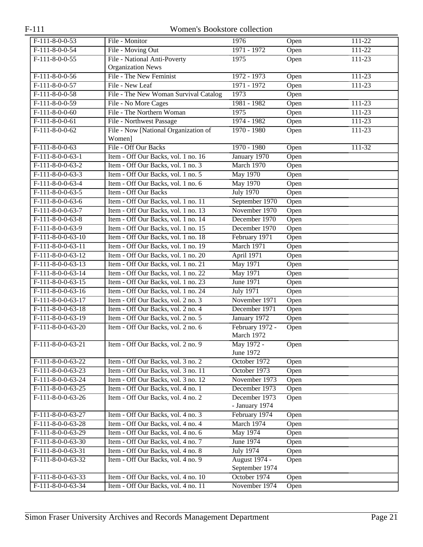| $F-111-8-0-0-53$    | File - Monitor                        | 1976             | Open | 111-22     |
|---------------------|---------------------------------------|------------------|------|------------|
| $F-111-8-0-0-54$    | File - Moving Out                     | 1971 - 1972      | Open | $111 - 22$ |
| $F-111-8-0-0-55$    | File - National Anti-Poverty          | 1975             | Open | $111 - 23$ |
|                     | <b>Organization News</b>              |                  |      |            |
| $F-111-8-0-0-56$    | File - The New Feminist               | 1972 - 1973      | Open | $111 - 23$ |
| $F-111-8-0-0-57$    | File - New Leaf                       | 1971 - 1972      | Open | 111-23     |
| $F-111-8-0-0-58$    | File - The New Woman Survival Catalog | 1973             | Open |            |
| $F-111-8-0-0-59$    | File - No More Cages                  | 1981 - 1982      | Open | 111-23     |
| $F-111-8-0-0-60$    | File - The Northern Woman             | 1975             | Open | $111 - 23$ |
| $F-111-8-0-0-61$    | File - Northwest Passage              | 1974 - 1982      | Open | $111 - 23$ |
| $F-111-8-0-0-62$    | File - Now [National Organization of  | $1970 - 1980$    | Open | 111-23     |
|                     | Women]                                |                  |      |            |
| $F-111-8-0-0-63$    | File - Off Our Backs                  | $1970 - 1980$    | Open | 111-32     |
| $F-111-8-0-0-63-1$  | Item - Off Our Backs, vol. 1 no. 16   | January 1970     | Open |            |
| $F-111-8-0-0-63-2$  | Item - Off Our Backs, vol. 1 no. 3    | March 1970       | Open |            |
| $F-111-8-0-0-63-3$  | Item - Off Our Backs, vol. 1 no. 5    | May 1970         | Open |            |
| $F-111-8-0-0-63-4$  | Item - Off Our Backs, vol. 1 no. 6    | <b>May 1970</b>  | Open |            |
| $F-111-8-0-0-63-5$  | Item - Off Our Backs                  | <b>July 1970</b> | Open |            |
| $F-111-8-0-0-63-6$  | Item - Off Our Backs, vol. 1 no. 11   | September 1970   | Open |            |
| $F-111-8-0-0-63-7$  | Item - Off Our Backs, vol. 1 no. 13   | November 1970    | Open |            |
| $F-111-8-0-0-63-8$  | Item - Off Our Backs, vol. 1 no. 14   | December 1970    | Open |            |
| $F-111-8-0-0-63-9$  | Item - Off Our Backs, vol. 1 no. 15   | December 1970    | Open |            |
| $F-111-8-0-0-63-10$ | Item - Off Our Backs, vol. 1 no. 18   | February 1971    | Open |            |
| $F-111-8-0-0-63-11$ | Item - Off Our Backs, vol. 1 no. 19   | March 1971       | Open |            |
| $F-111-8-0-0-63-12$ | Item - Off Our Backs, vol. 1 no. 20   | April 1971       | Open |            |
| $F-111-8-0-0-63-13$ | Item - Off Our Backs, vol. 1 no. 21   | May 1971         | Open |            |
| $F-111-8-0-0-63-14$ | Item - Off Our Backs, vol. 1 no. 22   | <b>May 1971</b>  | Open |            |
| $F-111-8-0-0-63-15$ | Item - Off Our Backs, vol. 1 no. 23   | June 1971        | Open |            |
| $F-111-8-0-0-63-16$ | Item - Off Our Backs, vol. 1 no. 24   | <b>July 1971</b> | Open |            |
| $F-111-8-0-0-63-17$ | Item - Off Our Backs, vol. 2 no. 3    | November 1971    | Open |            |
| $F-111-8-0-0-63-18$ | Item - Off Our Backs, vol. 2 no. 4    | December 1971    | Open |            |
| $F-111-8-0-0-63-19$ | Item - Off Our Backs, vol. 2 no. 5    | January 1972     | Open |            |
| $F-111-8-0-0-63-20$ | Item - Off Our Backs, vol. 2 no. 6    | February 1972 -  | Open |            |
|                     |                                       | March 1972       |      |            |
| F-111-8-0-0-63-21   | Item - Off Our Backs, vol. 2 no. 9    | May 1972 -       | Open |            |
|                     |                                       | June 1972        |      |            |
| F-111-8-0-0-63-22   | Item - Off Our Backs, vol. 3 no. 2    | October 1972     | Open |            |
| $F-111-8-0-0-63-23$ | Item - Off Our Backs, vol. 3 no. 11   | October 1973     | Open |            |
| F-111-8-0-0-63-24   | Item - Off Our Backs, vol. 3 no. 12   | November 1973    | Open |            |
| $F-111-8-0-0-63-25$ | Item - Off Our Backs, vol. 4 no. 1    | December 1973    | Open |            |
| $F-111-8-0-0-63-26$ | Item - Off Our Backs, vol. 4 no. 2    | December 1973    | Open |            |
|                     |                                       | - January 1974   |      |            |
| F-111-8-0-0-63-27   | Item - Off Our Backs, vol. 4 no. 3    | February 1974    | Open |            |
| $F-111-8-0-0-63-28$ | Item - Off Our Backs, vol. 4 no. 4    | March 1974       | Open |            |
| F-111-8-0-0-63-29   | Item - Off Our Backs, vol. 4 no. 6    | May 1974         | Open |            |
| $F-111-8-0-0-63-30$ | Item - Off Our Backs, vol. 4 no. 7    | June 1974        | Open |            |
| $F-111-8-0-0-63-31$ | Item - Off Our Backs, vol. 4 no. 8    | <b>July 1974</b> | Open |            |
| F-111-8-0-0-63-32   | Item - Off Our Backs, vol. 4 no. 9    | August 1974 -    | Open |            |
|                     |                                       | September 1974   |      |            |
| F-111-8-0-0-63-33   | Item - Off Our Backs, vol. 4 no. 10   | October 1974     | Open |            |
| $F-111-8-0-0-63-34$ | Item - Off Our Backs, vol. 4 no. 11   | November 1974    | Open |            |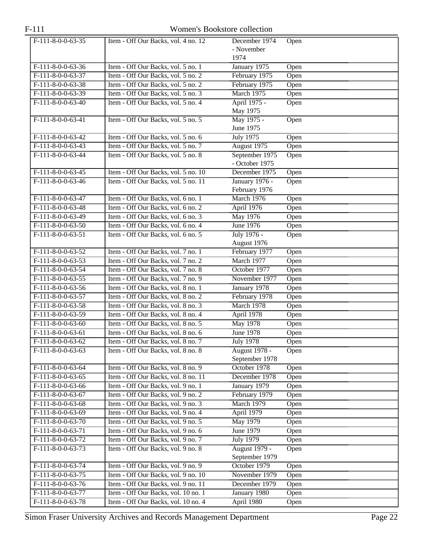| $F-111-8-0-0-63-35$ | Item - Off Our Backs, vol. 4 no. 12 | December 1974        | Open |
|---------------------|-------------------------------------|----------------------|------|
|                     |                                     | - November           |      |
|                     |                                     | 1974                 |      |
| $F-111-8-0-0-63-36$ | Item - Off Our Backs, vol. 5 no. 1  | January 1975         | Open |
| $F-111-8-0-0-63-37$ | Item - Off Our Backs, vol. 5 no. 2  | February 1975        | Open |
| $F-111-8-0-0-63-38$ | Item - Off Our Backs, vol. 5 no. 2  | February 1975        | Open |
| $F-111-8-0-0-63-39$ | Item - Off Our Backs, vol. 5 no. 3  | March 1975           | Open |
| $F-111-8-0-0-63-40$ | Item - Off Our Backs, vol. 5 no. 4  | April 1975 -         | Open |
|                     |                                     | May 1975             |      |
| $F-111-8-0-0-63-41$ | Item - Off Our Backs, vol. 5 no. 5  | May 1975 -           | Open |
|                     |                                     | June 1975            |      |
| $F-111-8-0-0-63-42$ | Item - Off Our Backs, vol. 5 no. 6  | July 1975            | Open |
| $F-111-8-0-0-63-43$ | Item - Off Our Backs, vol. 5 no. 7  | August 1975          | Open |
| $F-111-8-0-0-63-44$ | Item - Off Our Backs, vol. 5 no. 8  | September 1975       | Open |
|                     |                                     | - October 1975       |      |
| $F-111-8-0-0-63-45$ | Item - Off Our Backs, vol. 5 no. 10 | December 1975        | Open |
| $F-111-8-0-0-63-46$ | Item - Off Our Backs, vol. 5 no. 11 | January 1976 -       | Open |
|                     |                                     | February 1976        |      |
| F-111-8-0-0-63-47   | Item - Off Our Backs, vol. 6 no. 1  | March 1976           | Open |
| $F-111-8-0-0-63-48$ | Item - Off Our Backs, vol. 6 no. 2  | April 1976           | Open |
| $F-111-8-0-0-63-49$ | Item - Off Our Backs, vol. 6 no. 3  | May 1976             | Open |
| $F-111-8-0-0-63-50$ | Item - Off Our Backs, vol. 6 no. 4  | <b>June 1976</b>     | Open |
| $F-111-8-0-0-63-51$ | Item - Off Our Backs, vol. 6 no. 5  | July 1976 -          | Open |
|                     |                                     | August 1976          |      |
| $F-111-8-0-0-63-52$ | Item - Off Our Backs, vol. 7 no. 1  | February 1977        | Open |
| $F-111-8-0-0-63-53$ | Item - Off Our Backs, vol. 7 no. 2  | March 1977           | Open |
| $F-111-8-0-0-63-54$ | Item - Off Our Backs, vol. 7 no. 8  | October 1977         | Open |
| $F-111-8-0-0-63-55$ | Item - Off Our Backs, vol. 7 no. 9  | November 1977        | Open |
| $F-111-8-0-0-63-56$ | Item - Off Our Backs, vol. 8 no. 1  | January 1978         | Open |
| $F-111-8-0-0-63-57$ | Item - Off Our Backs, vol. 8 no. 2  | February 1978        | Open |
| $F-111-8-0-0-63-58$ | Item - Off Our Backs, vol. 8 no. 3  | March 1978           | Open |
| F-111-8-0-0-63-59   | Item - Off Our Backs, vol. 8 no. 4  | April 1978           | Open |
| $F-111-8-0-0-63-60$ | Item - Off Our Backs, vol. 8 no. 5  | May 1978             | Open |
| $F-111-8-0-0-63-61$ | Item - Off Our Backs, vol. 8 no. 6  | <b>June 1978</b>     | Open |
| $F-111-8-0-0-63-62$ | Item - Off Our Backs, vol. 8 no. 7  | <b>July 1978</b>     | Open |
| F-111-8-0-0-63-63   | Item - Off Our Backs, vol. 8 no. 8  | August 1978 -        | Open |
|                     |                                     | September 1978       |      |
| F-111-8-0-0-63-64   | Item - Off Our Backs, vol. 8 no. 9  | October 1978         | Open |
| $F-111-8-0-0-63-65$ | Item - Off Our Backs, vol. 8 no. 11 | December 1978        | Open |
| F-111-8-0-0-63-66   | Item - Off Our Backs, vol. 9 no. 1  | January 1979         | Open |
| $F-111-8-0-0-63-67$ | Item - Off Our Backs, vol. 9 no. 2  | February 1979        | Open |
| $F-111-8-0-0-63-68$ | Item - Off Our Backs, vol. 9 no. 3  | March 1979           | Open |
| F-111-8-0-0-63-69   | Item - Off Our Backs, vol. 9 no. 4  | April 1979           | Open |
| F-111-8-0-0-63-70   | Item - Off Our Backs, vol. 9 no. 5  | May 1979             | Open |
| F-111-8-0-0-63-71   | Item - Off Our Backs, vol. 9 no. 6  | June 1979            | Open |
| F-111-8-0-0-63-72   | Item - Off Our Backs, vol. 9 no. 7  | <b>July 1979</b>     | Open |
| $F-111-8-0-0-63-73$ | Item - Off Our Backs, vol. 9 no. 8  | <b>August 1979 -</b> | Open |
|                     |                                     | September 1979       |      |
| F-111-8-0-0-63-74   | Item - Off Our Backs, vol. 9 no. 9  | October 1979         | Open |
| $F-111-8-0-0-63-75$ | Item - Off Our Backs, vol. 9 no. 10 | November 1979        | Open |
| $F-111-8-0-0-63-76$ | Item - Off Our Backs, vol. 9 no. 11 | December 1979        | Open |
| F-111-8-0-0-63-77   | Item - Off Our Backs, vol. 10 no. 1 | January 1980         | Open |
| $F-111-8-0-0-63-78$ | Item - Off Our Backs, vol. 10 no. 4 | April 1980           | Open |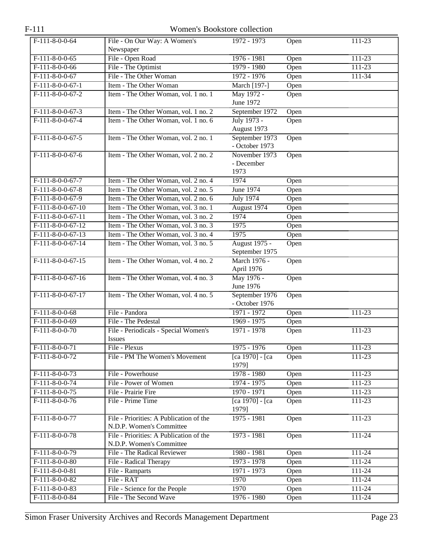| $F-111$             | Women's Bookstore collection                                        |                                        |      |            |  |  |
|---------------------|---------------------------------------------------------------------|----------------------------------------|------|------------|--|--|
| $F-111-8-0-0-64$    | File - On Our Way: A Women's<br>Newspaper                           | 1972 - 1973                            | Open | 111-23     |  |  |
| $F-111-8-0-0-65$    | File - Open Road                                                    | $1976 - 1981$                          | Open | $111 - 23$ |  |  |
| $F-111-8-0-0-66$    | File - The Optimist                                                 | 1979 - 1980                            | Open | $111 - 23$ |  |  |
| $F-111-8-0-0-67$    | File - The Other Woman                                              | 1972 - 1976                            | Open | 111-34     |  |  |
| $F-111-8-0-0-67-1$  | Item - The Other Woman                                              | March [197-]                           | Open |            |  |  |
| $F-111-8-0-0-67-2$  | Item - The Other Woman, vol. 1 no. 1                                | May 1972 -                             | Open |            |  |  |
| $F-111-8-0-0-67-3$  | Item - The Other Woman, vol. 1 no. 2                                | June 1972<br>September 1972            | Open |            |  |  |
| $F-111-8-0-0-67-4$  | Item - The Other Woman, vol. 1 no. 6                                | July 1973 -                            | Open |            |  |  |
|                     |                                                                     | August 1973                            |      |            |  |  |
| $F-111-8-0-0-67-5$  | Item - The Other Woman, vol. 2 no. 1                                | September 1973                         | Open |            |  |  |
|                     |                                                                     | - October 1973                         |      |            |  |  |
| $F-111-8-0-0-67-6$  | Item - The Other Woman, vol. 2 no. 2                                | November 1973                          | Open |            |  |  |
|                     |                                                                     | - December                             |      |            |  |  |
|                     |                                                                     | 1973                                   |      |            |  |  |
| $F-111-8-0-0-67-7$  | Item - The Other Woman, vol. 2 no. 4                                | 1974                                   | Open |            |  |  |
| $F-111-8-0-0-67-8$  | Item - The Other Woman, vol. 2 no. 5                                | June 1974                              | Open |            |  |  |
| F-111-8-0-0-67-9    | Item - The Other Woman, vol. 2 no. 6                                | <b>July 1974</b>                       | Open |            |  |  |
| $F-111-8-0-0-67-10$ | Item - The Other Woman, vol. 3 no. 1                                | August 1974                            | Open |            |  |  |
| $F-111-8-0-0-67-11$ | Item - The Other Woman, vol. 3 no. 2                                | 1974                                   | Open |            |  |  |
| $F-111-8-0-0-67-12$ | Item - The Other Woman, vol. 3 no. 3                                | 1975                                   | Open |            |  |  |
| $F-111-8-0-0-67-13$ | Item - The Other Woman, vol. 3 no. 4                                | 1975                                   | Open |            |  |  |
| $F-111-8-0-0-67-14$ | Item - The Other Woman, vol. 3 no. 5                                | <b>August 1975 -</b><br>September 1975 | Open |            |  |  |
| $F-111-8-0-0-67-15$ | Item - The Other Woman, vol. 4 no. 2                                | March 1976 -<br>April 1976             | Open |            |  |  |
| $F-111-8-0-0-67-16$ | Item - The Other Woman, vol. 4 no. 3                                | May 1976 -<br>June 1976                | Open |            |  |  |
| $F-111-8-0-0-67-17$ | Item - The Other Woman, vol. 4 no. 5                                | September 1976<br>- October 1976       | Open |            |  |  |
| $F-111-8-0-0-68$    | File - Pandora                                                      | 1971 - 1972                            | Open | 111-23     |  |  |
| $F-111-8-0-0-69$    | File - The Pedestal                                                 | 1969 - 1975                            | Open |            |  |  |
| F-111-8-0-0-70      | File - Periodicals - Special Women's<br><b>Issues</b>               | 1971 - 1978                            | Open | $111 - 23$ |  |  |
| $F-111-8-0-0-71$    | File - Plexus                                                       | $1975 - 1976$                          | Open | 111-23     |  |  |
| $F-111-8-0-0-72$    | File - PM The Women's Movement                                      | [ca 1970] - [ca<br>1979]               | Open | $111 - 23$ |  |  |
| $F-111-8-0-0-73$    | File - Powerhouse                                                   | 1978 - 1980                            | Open | $111 - 23$ |  |  |
| $F-111-8-0-0-74$    | File - Power of Women                                               | 1974 - 1975                            | Open | 111-23     |  |  |
| $F-111-8-0-0-75$    | File - Prairie Fire                                                 | 1970 - 1971                            | Open | 111-23     |  |  |
| $F-111-8-0-0-76$    | File - Prime Time                                                   | $[ca 1970] - [ca]$<br>1979]            | Open | $111 - 23$ |  |  |
| $F-111-8-0-0-77$    | File - Priorities: A Publication of the<br>N.D.P. Women's Committee | $1975 - 1981$                          | Open | 111-23     |  |  |
| $F-111-8-0-0-78$    | File - Priorities: A Publication of the<br>N.D.P. Women's Committee | 1973 - 1981                            | Open | $111 - 24$ |  |  |
| $F-111-8-0-0-79$    | File - The Radical Reviewer                                         | 1980 - 1981                            | Open | $111 - 24$ |  |  |
| $F-111-8-0-0-80$    | File - Radical Therapy                                              | 1973 - 1978                            | Open | 111-24     |  |  |
| $F-111-8-0-0-81$    | File - Ramparts                                                     | 1971 - 1973                            | Open | 111-24     |  |  |
| $F-111-8-0-0-82$    | File - RAT                                                          | 1970                                   | Open | 111-24     |  |  |
| $F-111-8-0-0-83$    | File - Science for the People                                       | 1970                                   | Open | 111-24     |  |  |
| $F-111-8-0-0-84$    | File - The Second Wave                                              | 1976 - 1980                            | Open | $111 - 24$ |  |  |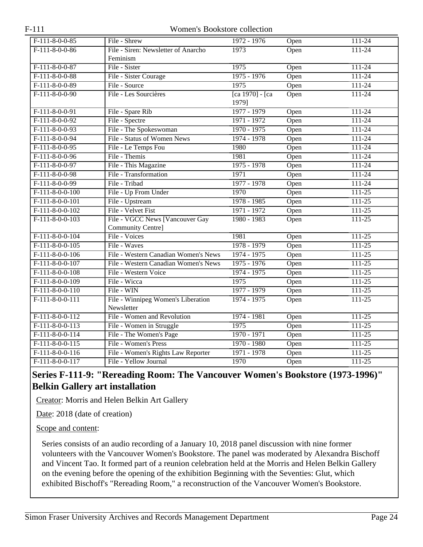| $F-111-8-0-0-85$  | File - Shrew                         | 1972 - 1976        | Open | $111 - 24$ |
|-------------------|--------------------------------------|--------------------|------|------------|
| $F-111-8-0-0-86$  | File - Siren: Newsletter of Anarcho  | 1973               | Open | $111 - 24$ |
|                   | Feminism                             |                    |      |            |
| $F-111-8-0-0-87$  | File - Sister                        | 1975               | Open | $111 - 24$ |
| $F-111-8-0-0-88$  | File - Sister Courage                | $1975 - 1976$      | Open | $111 - 24$ |
| $F-111-8-0-0-89$  | File - Source                        | 1975               | Open | $111 - 24$ |
| $F-111-8-0-0-90$  | File - Les Sourcières                | $[ca 1970] - [ca]$ | Open | $111 - 24$ |
|                   |                                      | 1979]              |      |            |
| $F-111-8-0-0-91$  | File - Spare Rib                     | 1977 - 1979        | Open | $111 - 24$ |
| $F-111-8-0-0-92$  | File - Spectre                       | 1971 - 1972        | Open | $111 - 24$ |
| $F-111-8-0-0-93$  | File - The Spokeswoman               | 1970 - 1975        | Open | $111 - 24$ |
| $F-111-8-0-0-94$  | File - Status of Women News          | 1974 - 1978        | Open | $111 - 24$ |
| $F-111-8-0-0-95$  | File - Le Temps Fou                  | 1980               | Open | $111 - 24$ |
| $F-111-8-0-0-96$  | File - Themis                        | 1981               | Open | $111 - 24$ |
| $F-111-8-0-0-97$  | File - This Magazine                 | 1975 - 1978        | Open | $111 - 24$ |
| $F-111-8-0-0-98$  | File - Transformation                | 1971               | Open | $111 - 24$ |
| $F-111-8-0-0-99$  | File - Tribad                        | 1977 - 1978        | Open | $111 - 24$ |
| $F-111-8-0-0-100$ | File - Up From Under                 | 1970               | Open | $111 - 25$ |
| $F-111-8-0-0-101$ | File - Upstream                      | 1978 - 1985        | Open | $111 - 25$ |
| $F-111-8-0-0-102$ | File - Velvet Fist                   | 1971 - 1972        | Open | $111 - 25$ |
| $F-111-8-0-0-103$ | File - VGCC News [Vancouver Gay      | 1980 - 1983        | Open | $111 - 25$ |
|                   | Community Centre]                    |                    |      |            |
| $F-111-8-0-0-104$ | File - Voices                        | 1981               | Open | $111 - 25$ |
| $F-111-8-0-0-105$ | File - Waves                         | 1978 - 1979        | Open | $111 - 25$ |
| $F-111-8-0-0-106$ | File - Western Canadian Women's News | 1974 - 1975        | Open | $111 - 25$ |
| $F-111-8-0-0-107$ | File - Western Canadian Women's News | 1975 - 1976        | Open | $111 - 25$ |
| $F-111-8-0-0-108$ | File - Western Voice                 | 1974 - 1975        | Open | $111 - 25$ |
| $F-111-8-0-0-109$ | File - Wicca                         | 1975               | Open | $111 - 25$ |
| $F-111-8-0-0-110$ | File - WIN                           | 1977 - 1979        | Open | $111 - 25$ |
| $F-111-8-0-0-111$ | File - Winnipeg Women's Liberation   | 1974 - 1975        | Open | $111 - 25$ |
|                   | Newsletter                           |                    |      |            |
| $F-111-8-0-0-112$ | File - Women and Revolution          | 1974 - 1981        | Open | $111 - 25$ |
| $F-111-8-0-0-113$ | File - Women in Struggle             | 1975               | Open | $111 - 25$ |
| $F-111-8-0-0-114$ | File - The Women's Page              | 1970 - 1971        | Open | $111 - 25$ |
| $F-111-8-0-0-115$ | File - Women's Press                 | 1970 - 1980        | Open | $111 - 25$ |
| $F-111-8-0-0-116$ | File - Women's Rights Law Reporter   | 1971 - 1978        | Open | $111 - 25$ |
| $F-111-8-0-0-117$ | File - Yellow Journal                | 1970               | Open | $111 - 25$ |

## <span id="page-23-0"></span>**Series F-111-9: "Rereading Room: The Vancouver Women's Bookstore (1973-1996)" Belkin Gallery art installation**

Creator: Morris and Helen Belkin Art Gallery

Date: 2018 (date of creation)

Scope and content:

Series consists of an audio recording of a January 10, 2018 panel discussion with nine former volunteers with the Vancouver Women's Bookstore. The panel was moderated by Alexandra Bischoff and Vincent Tao. It formed part of a reunion celebration held at the Morris and Helen Belkin Gallery on the evening before the opening of the exhibition Beginning with the Seventies: Glut, which exhibited Bischoff's "Rereading Room," a reconstruction of the Vancouver Women's Bookstore.